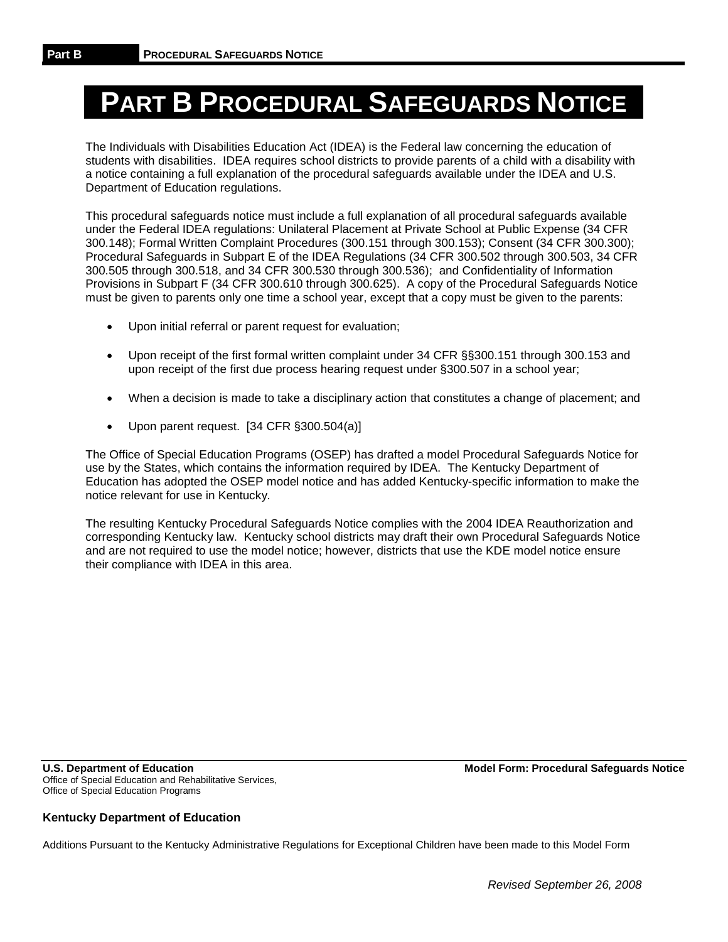# **PART B PROCEDURAL SAFEGUARDS NOTICE**

The Individuals with Disabilities Education Act (IDEA) is the Federal law concerning the education of students with disabilities. IDEA requires school districts to provide parents of a child with a disability with a notice containing a full explanation of the procedural safeguards available under the IDEA and U.S. Department of Education regulations.

This procedural safeguards notice must include a full explanation of all procedural safeguards available under the Federal IDEA regulations: Unilateral Placement at Private School at Public Expense (34 CFR 300.148); Formal Written Complaint Procedures (300.151 through 300.153); Consent (34 CFR 300.300); Procedural Safeguards in Subpart E of the IDEA Regulations (34 CFR 300.502 through 300.503, 34 CFR 300.505 through 300.518, and 34 CFR 300.530 through 300.536); and Confidentiality of Information Provisions in Subpart F (34 CFR 300.610 through 300.625). A copy of the Procedural Safeguards Notice must be given to parents only one time a school year, except that a copy must be given to the parents:

- Upon initial referral or parent request for evaluation;
- Upon receipt of the first formal written complaint under 34 CFR §§300.151 through 300.153 and upon receipt of the first due process hearing request under §300.507 in a school year;
- When a decision is made to take a disciplinary action that constitutes a change of placement; and
- Upon parent request. [34 CFR §300.504(a)]

The Office of Special Education Programs (OSEP) has drafted a model Procedural Safeguards Notice for use by the States, which contains the information required by IDEA. The Kentucky Department of Education has adopted the OSEP model notice and has added Kentucky-specific information to make the notice relevant for use in Kentucky.

The resulting Kentucky Procedural Safeguards Notice complies with the 2004 IDEA Reauthorization and corresponding Kentucky law. Kentucky school districts may draft their own Procedural Safeguards Notice and are not required to use the model notice; however, districts that use the KDE model notice ensure their compliance with IDEA in this area.

**U.S. Department of Education Model Form: Procedural Safeguards Notice**  Office of Special Education and Rehabilitative Services, Office of Special Education Programs

#### **Kentucky Department of Education**

Additions Pursuant to the Kentucky Administrative Regulations for Exceptional Children have been made to this Model Form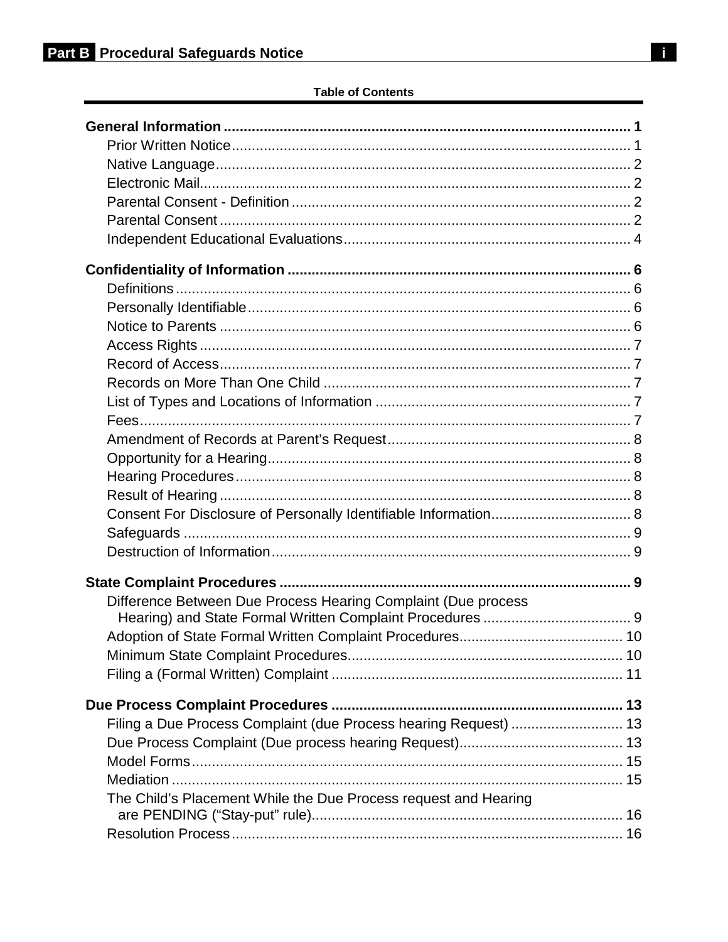|  |  | <b>Table of Contents</b> |
|--|--|--------------------------|
|--|--|--------------------------|

| Difference Between Due Process Hearing Complaint (Due process    |  |
|------------------------------------------------------------------|--|
|                                                                  |  |
|                                                                  |  |
|                                                                  |  |
|                                                                  |  |
|                                                                  |  |
| Filing a Due Process Complaint (due Process hearing Request)  13 |  |
|                                                                  |  |
|                                                                  |  |
|                                                                  |  |
| The Child's Placement While the Due Process request and Hearing  |  |
|                                                                  |  |
|                                                                  |  |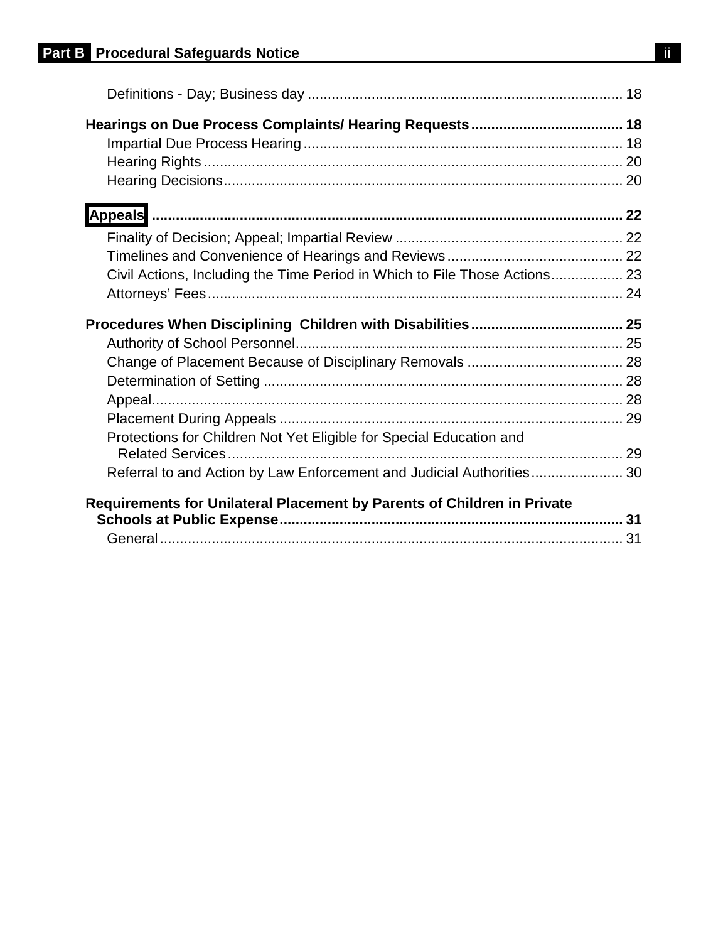| Appeals <b>Manual According to the Control of Appeals</b> (22              |  |
|----------------------------------------------------------------------------|--|
|                                                                            |  |
|                                                                            |  |
| Civil Actions, Including the Time Period in Which to File Those Actions 23 |  |
|                                                                            |  |
|                                                                            |  |
|                                                                            |  |
|                                                                            |  |
|                                                                            |  |
|                                                                            |  |
|                                                                            |  |
| Protections for Children Not Yet Eligible for Special Education and        |  |
| Referral to and Action by Law Enforcement and Judicial Authorities 30      |  |
| Requirements for Unilateral Placement by Parents of Children in Private    |  |
|                                                                            |  |
|                                                                            |  |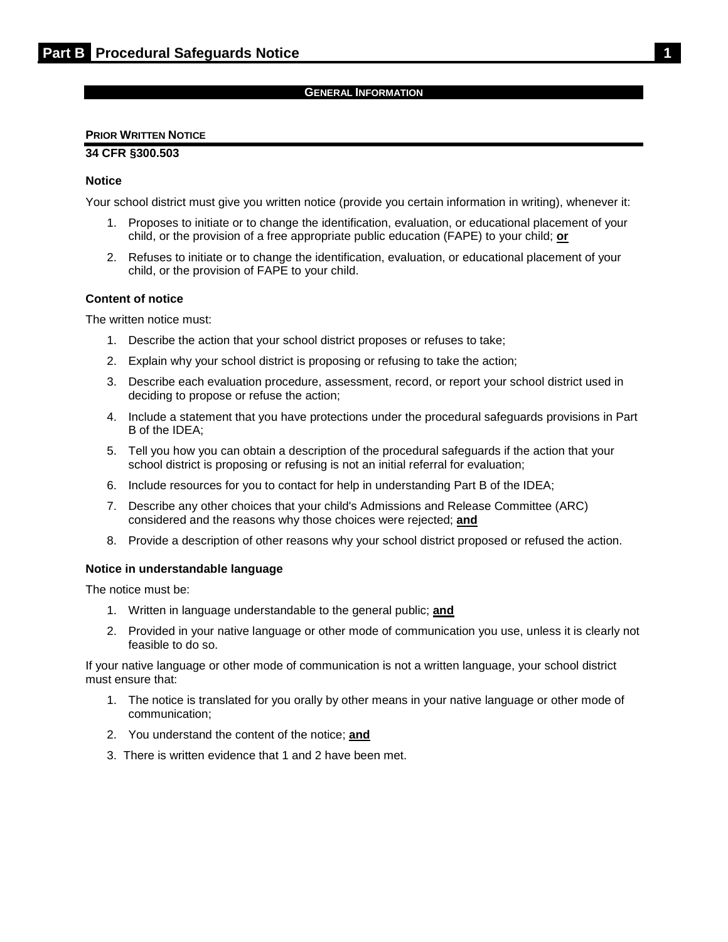## **GENERAL INFORMATION**

## <span id="page-3-1"></span><span id="page-3-0"></span>**PRIOR WRITTEN NOTICE**

#### **34 CFR §300.503**

#### **Notice**

Your school district must give you written notice (provide you certain information in writing), whenever it:

- 1. Proposes to initiate or to change the identification, evaluation, or educational placement of your child, or the provision of a free appropriate public education (FAPE) to your child; **or**
- 2. Refuses to initiate or to change the identification, evaluation, or educational placement of your child, or the provision of FAPE to your child.

## **Content of notice**

The written notice must:

- 1. Describe the action that your school district proposes or refuses to take;
- 2. Explain why your school district is proposing or refusing to take the action;
- 3. Describe each evaluation procedure, assessment, record, or report your school district used in deciding to propose or refuse the action;
- 4. Include a statement that you have protections under the procedural safeguards provisions in Part B of the IDEA;
- 5. Tell you how you can obtain a description of the procedural safeguards if the action that your school district is proposing or refusing is not an initial referral for evaluation;
- 6. Include resources for you to contact for help in understanding Part B of the IDEA;
- 7. Describe any other choices that your child's Admissions and Release Committee (ARC) considered and the reasons why those choices were rejected; **and**
- 8. Provide a description of other reasons why your school district proposed or refused the action.

#### **Notice in understandable language**

The notice must be:

- 1. Written in language understandable to the general public; **and**
- 2. Provided in your native language or other mode of communication you use, unless it is clearly not feasible to do so.

If your native language or other mode of communication is not a written language, your school district must ensure that:

- 1. The notice is translated for you orally by other means in your native language or other mode of communication;
- 2. You understand the content of the notice; **and**
- 3. There is written evidence that 1 and 2 have been met.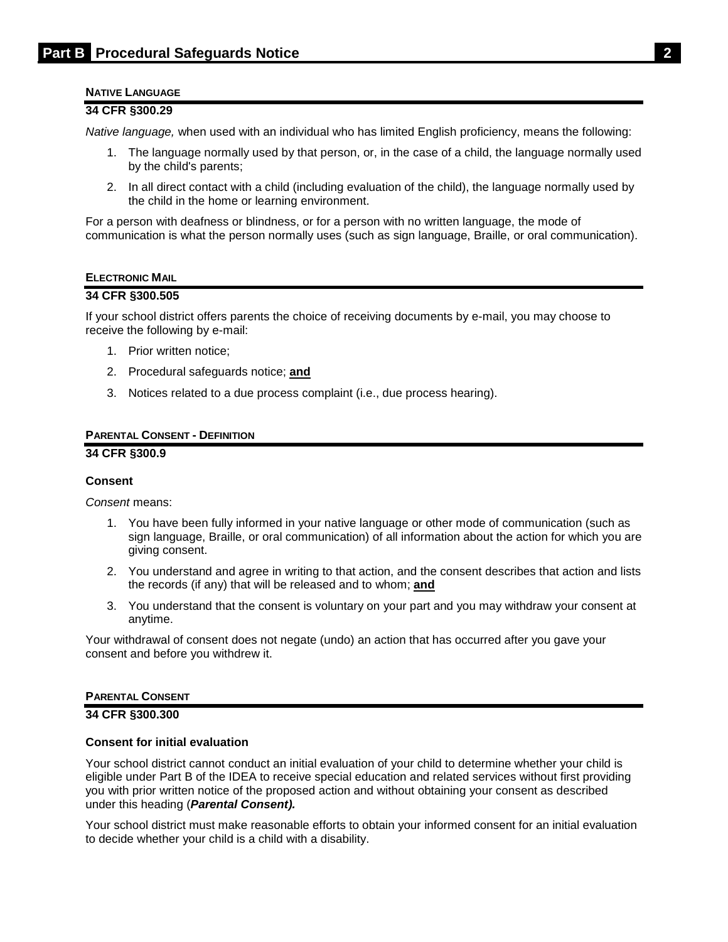## <span id="page-4-0"></span>**NATIVE LANGUAGE**

## **34 CFR §300.29**

*Native language,* when used with an individual who has limited English proficiency, means the following:

- 1. The language normally used by that person, or, in the case of a child, the language normally used by the child's parents;
- 2. In all direct contact with a child (including evaluation of the child), the language normally used by the child in the home or learning environment.

For a person with deafness or blindness, or for a person with no written language, the mode of communication is what the person normally uses (such as sign language, Braille, or oral communication).

## <span id="page-4-1"></span>**ELECTRONIC MAIL**

## **34 CFR §300.505**

If your school district offers parents the choice of receiving documents by e-mail, you may choose to receive the following by e-mail:

- 1. Prior written notice;
- 2. Procedural safeguards notice; **and**
- 3. Notices related to a due process complaint (i.e., due process hearing).

## <span id="page-4-2"></span>**PARENTAL CONSENT - DEFINITION**

## **34 CFR §300.9**

## **Consent**

*Consent* means:

- 1. You have been fully informed in your native language or other mode of communication (such as sign language, Braille, or oral communication) of all information about the action for which you are giving consent.
- 2. You understand and agree in writing to that action, and the consent describes that action and lists the records (if any) that will be released and to whom; **and**
- 3. You understand that the consent is voluntary on your part and you may withdraw your consent at anytime.

Your withdrawal of consent does not negate (undo) an action that has occurred after you gave your consent and before you withdrew it.

## <span id="page-4-3"></span>**PARENTAL CONSENT**

## **34 CFR §300.300**

## **Consent for initial evaluation**

Your school district cannot conduct an initial evaluation of your child to determine whether your child is eligible under Part B of the IDEA to receive special education and related services without first providing you with prior written notice of the proposed action and without obtaining your consent as described under this heading (*Parental Consent).*

Your school district must make reasonable efforts to obtain your informed consent for an initial evaluation to decide whether your child is a child with a disability.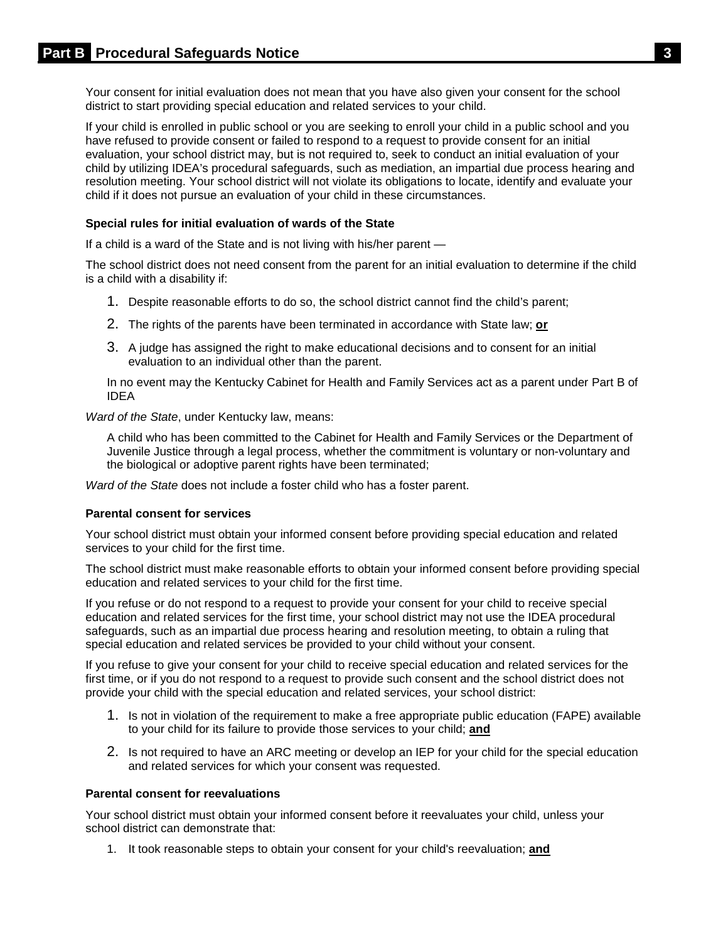Your consent for initial evaluation does not mean that you have also given your consent for the school district to start providing special education and related services to your child.

If your child is enrolled in public school or you are seeking to enroll your child in a public school and you have refused to provide consent or failed to respond to a request to provide consent for an initial evaluation, your school district may, but is not required to, seek to conduct an initial evaluation of your child by utilizing IDEA's procedural safeguards, such as mediation, an impartial due process hearing and resolution meeting. Your school district will not violate its obligations to locate, identify and evaluate your child if it does not pursue an evaluation of your child in these circumstances.

## **Special rules for initial evaluation of wards of the State**

If a child is a ward of the State and is not living with his/her parent —

The school district does not need consent from the parent for an initial evaluation to determine if the child is a child with a disability if:

- 1. Despite reasonable efforts to do so, the school district cannot find the child's parent;
- 2. The rights of the parents have been terminated in accordance with State law; **or**
- 3. A judge has assigned the right to make educational decisions and to consent for an initial evaluation to an individual other than the parent.

In no event may the Kentucky Cabinet for Health and Family Services act as a parent under Part B of IDEA

*Ward of the State*, under Kentucky law, means:

A child who has been committed to the Cabinet for Health and Family Services or the Department of Juvenile Justice through a legal process, whether the commitment is voluntary or non-voluntary and the biological or adoptive parent rights have been terminated;

*Ward of the State* does not include a foster child who has a foster parent.

## **Parental consent for services**

Your school district must obtain your informed consent before providing special education and related services to your child for the first time.

The school district must make reasonable efforts to obtain your informed consent before providing special education and related services to your child for the first time.

If you refuse or do not respond to a request to provide your consent for your child to receive special education and related services for the first time, your school district may not use the IDEA procedural safeguards, such as an impartial due process hearing and resolution meeting, to obtain a ruling that special education and related services be provided to your child without your consent.

If you refuse to give your consent for your child to receive special education and related services for the first time, or if you do not respond to a request to provide such consent and the school district does not provide your child with the special education and related services, your school district:

- 1. Is not in violation of the requirement to make a free appropriate public education (FAPE) available to your child for its failure to provide those services to your child; **and**
- 2. Is not required to have an ARC meeting or develop an IEP for your child for the special education and related services for which your consent was requested.

## **Parental consent for reevaluations**

Your school district must obtain your informed consent before it reevaluates your child, unless your school district can demonstrate that:

1. It took reasonable steps to obtain your consent for your child's reevaluation; **and**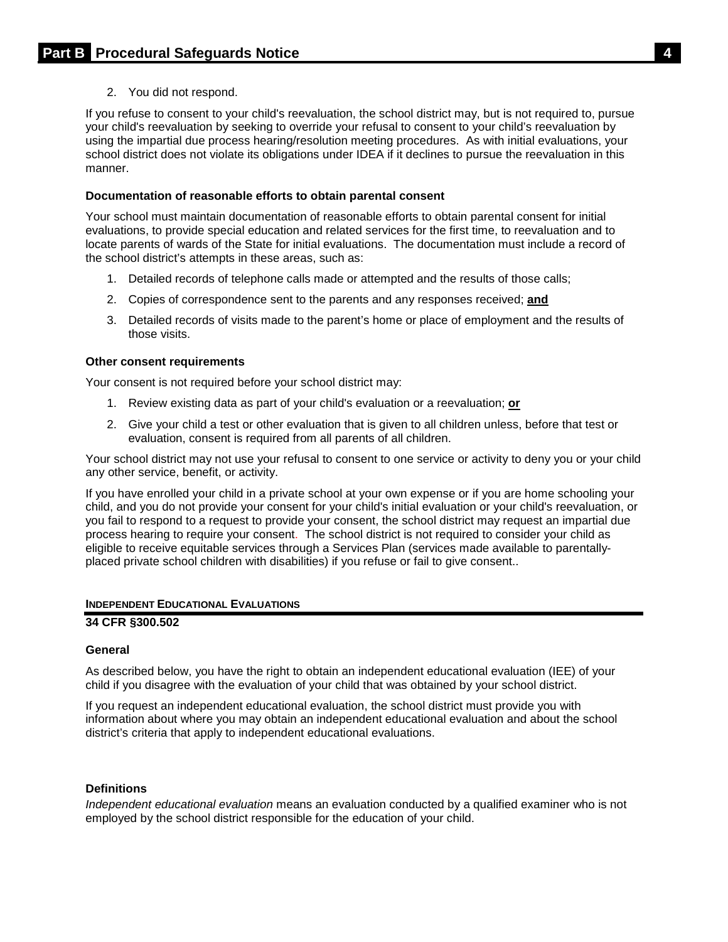## 2. You did not respond.

If you refuse to consent to your child's reevaluation, the school district may, but is not required to, pursue your child's reevaluation by seeking to override your refusal to consent to your child's reevaluation by using the impartial due process hearing/resolution meeting procedures. As with initial evaluations, your school district does not violate its obligations under IDEA if it declines to pursue the reevaluation in this manner.

## **Documentation of reasonable efforts to obtain parental consent**

Your school must maintain documentation of reasonable efforts to obtain parental consent for initial evaluations, to provide special education and related services for the first time, to reevaluation and to locate parents of wards of the State for initial evaluations. The documentation must include a record of the school district's attempts in these areas, such as:

- 1. Detailed records of telephone calls made or attempted and the results of those calls;
- 2. Copies of correspondence sent to the parents and any responses received; **and**
- 3. Detailed records of visits made to the parent's home or place of employment and the results of those visits.

## **Other consent requirements**

Your consent is not required before your school district may:

- 1. Review existing data as part of your child's evaluation or a reevaluation; **or**
- 2. Give your child a test or other evaluation that is given to all children unless, before that test or evaluation, consent is required from all parents of all children.

Your school district may not use your refusal to consent to one service or activity to deny you or your child any other service, benefit, or activity.

If you have enrolled your child in a private school at your own expense or if you are home schooling your child, and you do not provide your consent for your child's initial evaluation or your child's reevaluation, or you fail to respond to a request to provide your consent, the school district may request an impartial due process hearing to require your consent. The school district is not required to consider your child as eligible to receive equitable services through a Services Plan (services made available to parentallyplaced private school children with disabilities) if you refuse or fail to give consent..

## <span id="page-6-0"></span>**INDEPENDENT EDUCATIONAL EVALUATIONS**

## **34 CFR §300.502**

## **General**

As described below, you have the right to obtain an independent educational evaluation (IEE) of your child if you disagree with the evaluation of your child that was obtained by your school district.

If you request an independent educational evaluation, the school district must provide you with information about where you may obtain an independent educational evaluation and about the school district's criteria that apply to independent educational evaluations.

## **Definitions**

*Independent educational evaluation* means an evaluation conducted by a qualified examiner who is not employed by the school district responsible for the education of your child.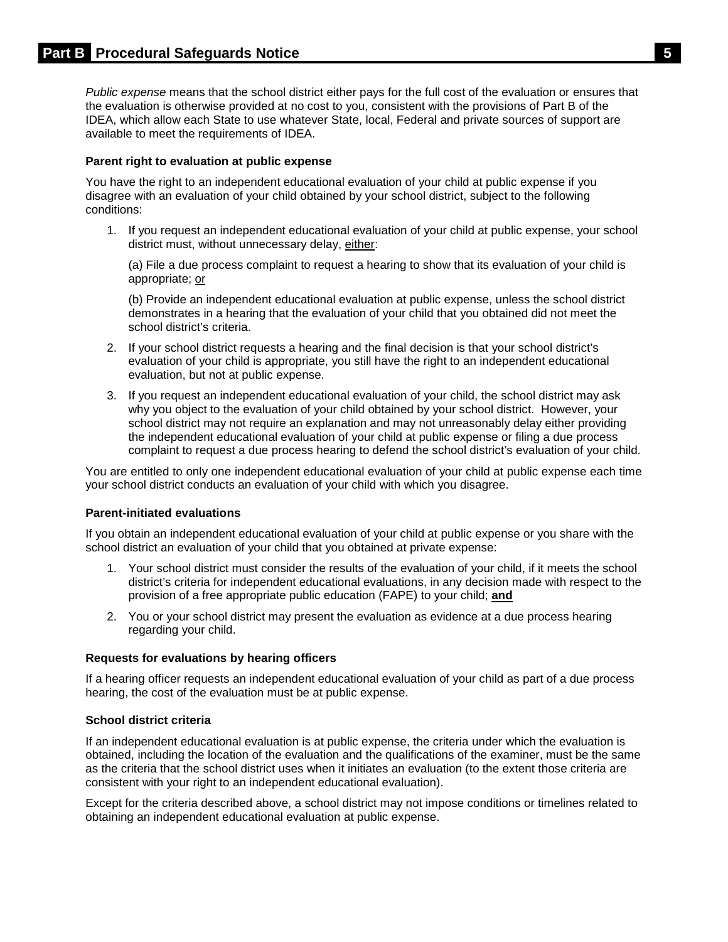*Public expense* means that the school district either pays for the full cost of the evaluation or ensures that the evaluation is otherwise provided at no cost to you, consistent with the provisions of Part B of the IDEA, which allow each State to use whatever State, local, Federal and private sources of support are available to meet the requirements of IDEA.

## **Parent right to evaluation at public expense**

You have the right to an independent educational evaluation of your child at public expense if you disagree with an evaluation of your child obtained by your school district, subject to the following conditions:

1. If you request an independent educational evaluation of your child at public expense, your school district must, without unnecessary delay, either:

(a) File a due process complaint to request a hearing to show that its evaluation of your child is appropriate; or

(b) Provide an independent educational evaluation at public expense, unless the school district demonstrates in a hearing that the evaluation of your child that you obtained did not meet the school district's criteria.

- 2. If your school district requests a hearing and the final decision is that your school district's evaluation of your child is appropriate, you still have the right to an independent educational evaluation, but not at public expense.
- 3. If you request an independent educational evaluation of your child, the school district may ask why you object to the evaluation of your child obtained by your school district. However, your school district may not require an explanation and may not unreasonably delay either providing the independent educational evaluation of your child at public expense or filing a due process complaint to request a due process hearing to defend the school district's evaluation of your child.

You are entitled to only one independent educational evaluation of your child at public expense each time your school district conducts an evaluation of your child with which you disagree.

## **Parent-initiated evaluations**

If you obtain an independent educational evaluation of your child at public expense or you share with the school district an evaluation of your child that you obtained at private expense:

- 1. Your school district must consider the results of the evaluation of your child, if it meets the school district's criteria for independent educational evaluations, in any decision made with respect to the provision of a free appropriate public education (FAPE) to your child; **and**
- 2. You or your school district may present the evaluation as evidence at a due process hearing regarding your child.

## **Requests for evaluations by hearing officers**

If a hearing officer requests an independent educational evaluation of your child as part of a due process hearing, the cost of the evaluation must be at public expense.

## **School district criteria**

If an independent educational evaluation is at public expense, the criteria under which the evaluation is obtained, including the location of the evaluation and the qualifications of the examiner, must be the same as the criteria that the school district uses when it initiates an evaluation (to the extent those criteria are consistent with your right to an independent educational evaluation).

Except for the criteria described above, a school district may not impose conditions or timelines related to obtaining an independent educational evaluation at public expense.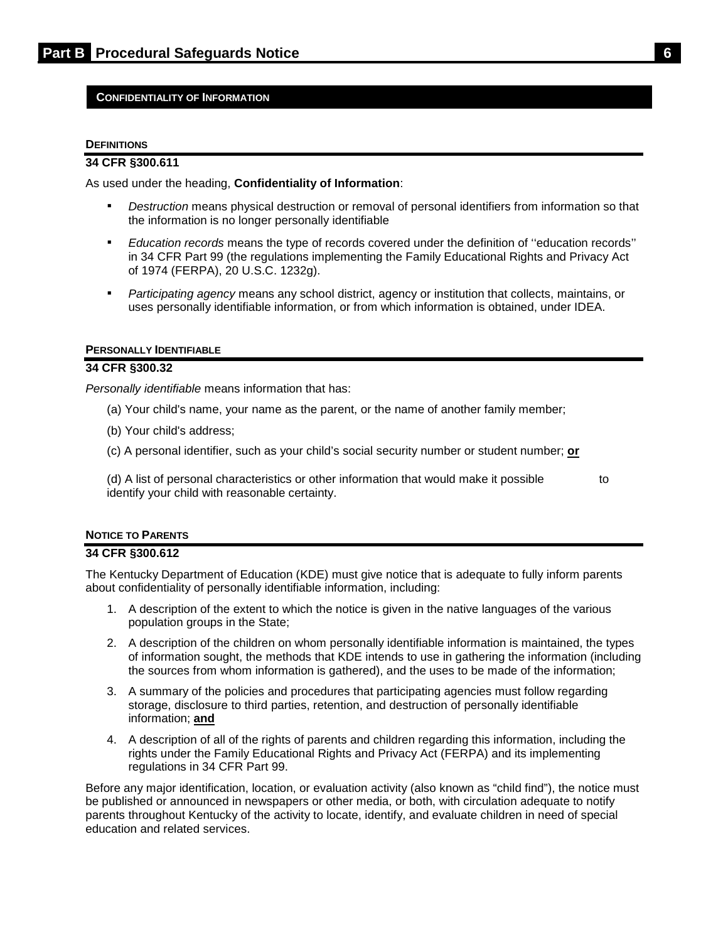## <span id="page-8-0"></span>**CONFIDENTIALITY OF INFORMATION**

#### <span id="page-8-1"></span>**DEFINITIONS**

#### **34 CFR §300.611**

As used under the heading, **Confidentiality of Information**:

- *Destruction* means physical destruction or removal of personal identifiers from information so that the information is no longer personally identifiable
- *Education records* means the type of records covered under the definition of ''education records'' in 34 CFR Part 99 (the regulations implementing the Family Educational Rights and Privacy Act of 1974 (FERPA), 20 U.S.C. 1232g).
- *Participating agency* means any school district, agency or institution that collects, maintains, or uses personally identifiable information, or from which information is obtained, under IDEA.

#### <span id="page-8-2"></span>**PERSONALLY IDENTIFIABLE**

#### **34 CFR §300.32**

*Personally identifiable* means information that has:

- (a) Your child's name, your name as the parent, or the name of another family member;
- (b) Your child's address;
- (c) A personal identifier, such as your child's social security number or student number; **or**

(d) A list of personal characteristics or other information that would make it possible to identify your child with reasonable certainty.

#### <span id="page-8-3"></span>**NOTICE TO PARENTS**

## **34 CFR §300.612**

The Kentucky Department of Education (KDE) must give notice that is adequate to fully inform parents about confidentiality of personally identifiable information, including:

- 1. A description of the extent to which the notice is given in the native languages of the various population groups in the State;
- 2. A description of the children on whom personally identifiable information is maintained, the types of information sought, the methods that KDE intends to use in gathering the information (including the sources from whom information is gathered), and the uses to be made of the information;
- 3. A summary of the policies and procedures that participating agencies must follow regarding storage, disclosure to third parties, retention, and destruction of personally identifiable information; **and**
- 4. A description of all of the rights of parents and children regarding this information, including the rights under the Family Educational Rights and Privacy Act (FERPA) and its implementing regulations in 34 CFR Part 99.

Before any major identification, location, or evaluation activity (also known as "child find"), the notice must be published or announced in newspapers or other media, or both, with circulation adequate to notify parents throughout Kentucky of the activity to locate, identify, and evaluate children in need of special education and related services.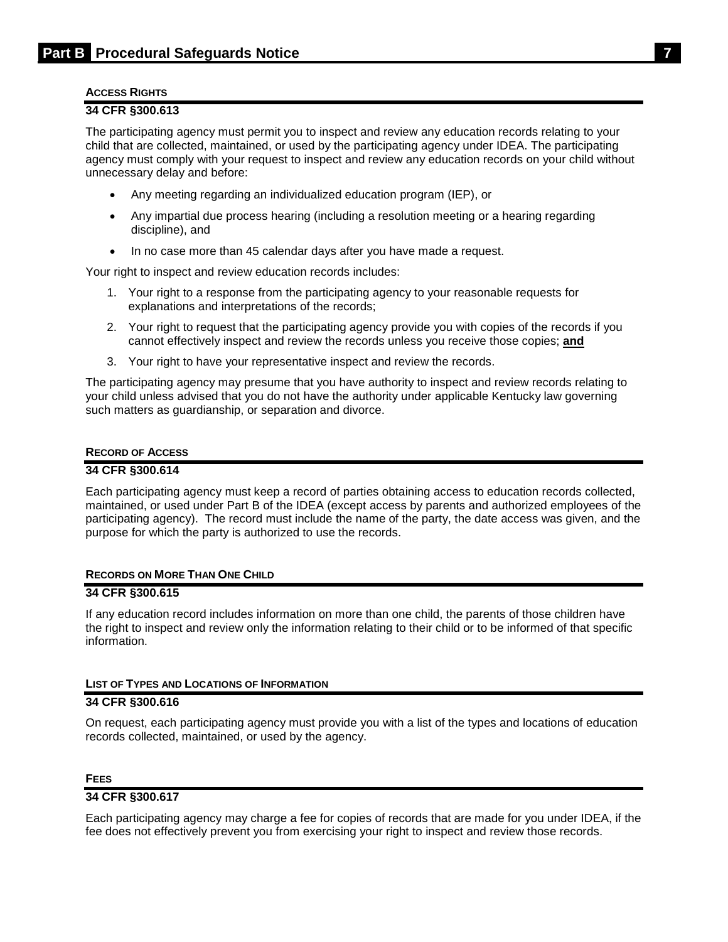## <span id="page-9-0"></span>**ACCESS RIGHTS**

## **34 CFR §300.613**

The participating agency must permit you to inspect and review any education records relating to your child that are collected, maintained, or used by the participating agency under IDEA. The participating agency must comply with your request to inspect and review any education records on your child without unnecessary delay and before:

- Any meeting regarding an individualized education program (IEP), or
- Any impartial due process hearing (including a resolution meeting or a hearing regarding discipline), and
- In no case more than 45 calendar days after you have made a request.

Your right to inspect and review education records includes:

- 1. Your right to a response from the participating agency to your reasonable requests for explanations and interpretations of the records;
- 2. Your right to request that the participating agency provide you with copies of the records if you cannot effectively inspect and review the records unless you receive those copies; **and**
- 3. Your right to have your representative inspect and review the records.

The participating agency may presume that you have authority to inspect and review records relating to your child unless advised that you do not have the authority under applicable Kentucky law governing such matters as guardianship, or separation and divorce.

#### <span id="page-9-1"></span>**RECORD OF ACCESS**

#### **34 CFR §300.614**

Each participating agency must keep a record of parties obtaining access to education records collected, maintained, or used under Part B of the IDEA (except access by parents and authorized employees of the participating agency). The record must include the name of the party, the date access was given, and the purpose for which the party is authorized to use the records.

## <span id="page-9-2"></span>**RECORDS ON MORE THAN ONE CHILD**

#### **34 CFR §300.615**

If any education record includes information on more than one child, the parents of those children have the right to inspect and review only the information relating to their child or to be informed of that specific information.

## <span id="page-9-3"></span>**LIST OF TYPES AND LOCATIONS OF INFORMATION**

#### **34 CFR §300.616**

On request, each participating agency must provide you with a list of the types and locations of education records collected, maintained, or used by the agency.

## <span id="page-9-4"></span>**FEES**

## **34 CFR §300.617**

Each participating agency may charge a fee for copies of records that are made for you under IDEA, if the fee does not effectively prevent you from exercising your right to inspect and review those records.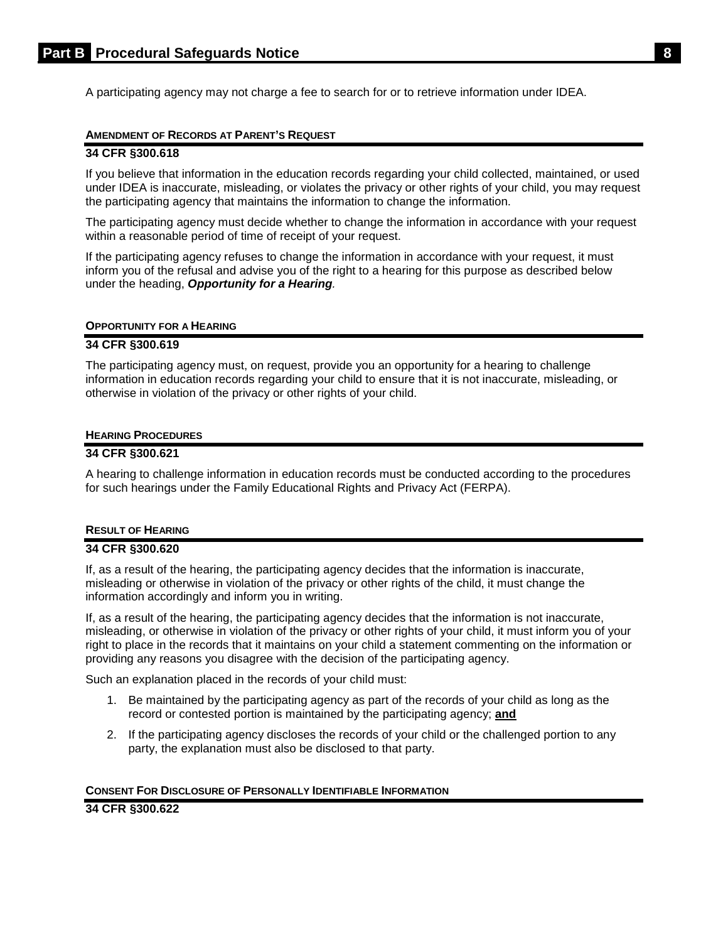<span id="page-10-0"></span>A participating agency may not charge a fee to search for or to retrieve information under IDEA.

## **AMENDMENT OF RECORDS AT PARENT'S REQUEST**

#### **34 CFR §300.618**

If you believe that information in the education records regarding your child collected, maintained, or used under IDEA is inaccurate, misleading, or violates the privacy or other rights of your child, you may request the participating agency that maintains the information to change the information.

The participating agency must decide whether to change the information in accordance with your request within a reasonable period of time of receipt of your request.

If the participating agency refuses to change the information in accordance with your request, it must inform you of the refusal and advise you of the right to a hearing for this purpose as described below under the heading, *Opportunity for a Hearing.* 

#### <span id="page-10-1"></span>**OPPORTUNITY FOR A HEARING**

#### **34 CFR §300.619**

The participating agency must, on request, provide you an opportunity for a hearing to challenge information in education records regarding your child to ensure that it is not inaccurate, misleading, or otherwise in violation of the privacy or other rights of your child.

#### <span id="page-10-2"></span>**HEARING PROCEDURES**

## **34 CFR §300.621**

A hearing to challenge information in education records must be conducted according to the procedures for such hearings under the Family Educational Rights and Privacy Act (FERPA).

## <span id="page-10-3"></span>**RESULT OF HEARING**

## **34 CFR §300.620**

If, as a result of the hearing, the participating agency decides that the information is inaccurate, misleading or otherwise in violation of the privacy or other rights of the child, it must change the information accordingly and inform you in writing.

If, as a result of the hearing, the participating agency decides that the information is not inaccurate, misleading, or otherwise in violation of the privacy or other rights of your child, it must inform you of your right to place in the records that it maintains on your child a statement commenting on the information or providing any reasons you disagree with the decision of the participating agency.

Such an explanation placed in the records of your child must:

- 1. Be maintained by the participating agency as part of the records of your child as long as the record or contested portion is maintained by the participating agency; **and**
- 2. If the participating agency discloses the records of your child or the challenged portion to any party, the explanation must also be disclosed to that party.

#### <span id="page-10-4"></span>**CONSENT FOR DISCLOSURE OF PERSONALLY IDENTIFIABLE INFORMATION**

**34 CFR §300.622**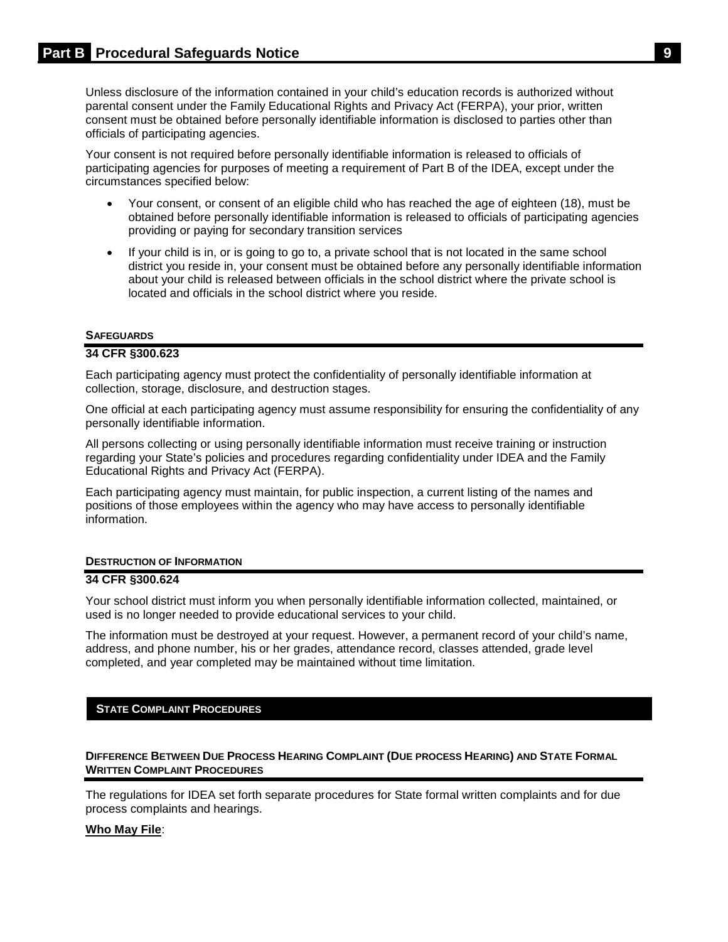Unless disclosure of the information contained in your child's education records is authorized without parental consent under the Family Educational Rights and Privacy Act (FERPA), your prior, written consent must be obtained before personally identifiable information is disclosed to parties other than officials of participating agencies.

Your consent is not required before personally identifiable information is released to officials of participating agencies for purposes of meeting a requirement of Part B of the IDEA, except under the circumstances specified below:

- Your consent, or consent of an eligible child who has reached the age of eighteen (18), must be obtained before personally identifiable information is released to officials of participating agencies providing or paying for secondary transition services
- If your child is in, or is going to go to, a private school that is not located in the same school district you reside in, your consent must be obtained before any personally identifiable information about your child is released between officials in the school district where the private school is located and officials in the school district where you reside.

## <span id="page-11-0"></span>**SAFEGUARDS**

## **34 CFR §300.623**

Each participating agency must protect the confidentiality of personally identifiable information at collection, storage, disclosure, and destruction stages.

One official at each participating agency must assume responsibility for ensuring the confidentiality of any personally identifiable information.

All persons collecting or using personally identifiable information must receive training or instruction regarding your State's policies and procedures regarding confidentiality under IDEA and the Family Educational Rights and Privacy Act (FERPA).

Each participating agency must maintain, for public inspection, a current listing of the names and positions of those employees within the agency who may have access to personally identifiable information.

## <span id="page-11-1"></span>**DESTRUCTION OF INFORMATION**

#### **34 CFR §300.624**

Your school district must inform you when personally identifiable information collected, maintained, or used is no longer needed to provide educational services to your child.

The information must be destroyed at your request. However, a permanent record of your child's name, address, and phone number, his or her grades, attendance record, classes attended, grade level completed, and year completed may be maintained without time limitation.

## <span id="page-11-2"></span>**STATE COMPLAINT PROCEDURES**

## <span id="page-11-3"></span>**DIFFERENCE BETWEEN DUE PROCESS HEARING COMPLAINT (DUE PROCESS HEARING) AND STATE FORMAL WRITTEN COMPLAINT PROCEDURES**

The regulations for IDEA set forth separate procedures for State formal written complaints and for due process complaints and hearings.

## **Who May File**: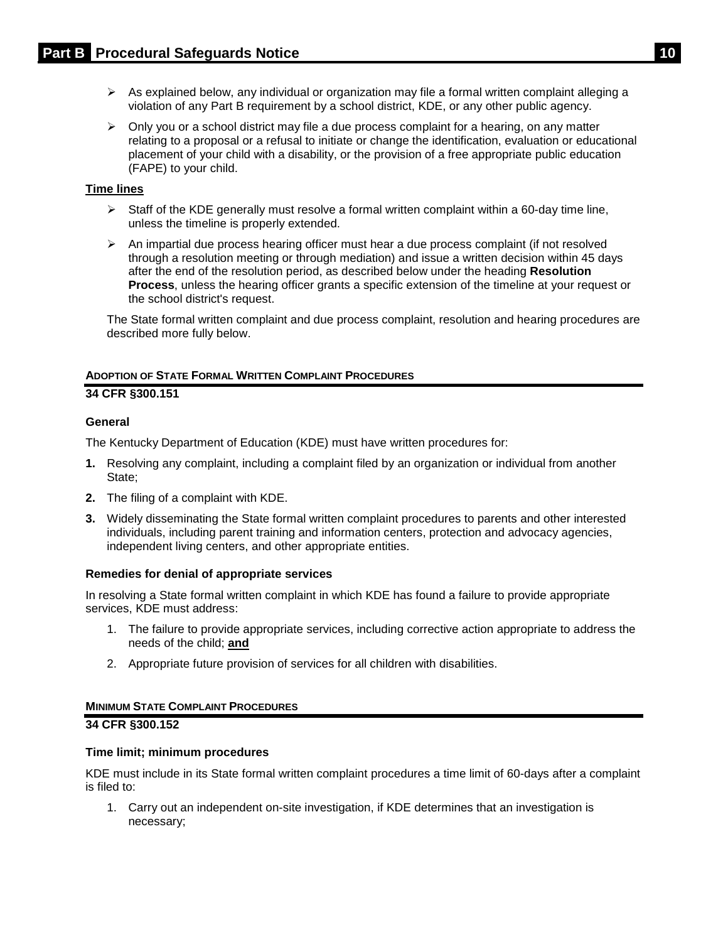- $\triangleright$  As explained below, any individual or organization may file a formal written complaint alleging a violation of any Part B requirement by a school district, KDE, or any other public agency.
- $\triangleright$  Only you or a school district may file a due process complaint for a hearing, on any matter relating to a proposal or a refusal to initiate or change the identification, evaluation or educational placement of your child with a disability, or the provision of a free appropriate public education (FAPE) to your child.

## **Time lines**

- $\triangleright$  Staff of the KDE generally must resolve a formal written complaint within a 60-day time line, unless the timeline is properly extended.
- $\triangleright$  An impartial due process hearing officer must hear a due process complaint (if not resolved through a resolution meeting or through mediation) and issue a written decision within 45 days after the end of the resolution period, as described below under the heading **Resolution Process**, unless the hearing officer grants a specific extension of the timeline at your request or the school district's request.

The State formal written complaint and due process complaint, resolution and hearing procedures are described more fully below.

## <span id="page-12-0"></span>**ADOPTION OF STATE FORMAL WRITTEN COMPLAINT PROCEDURES**

## **34 CFR §300.151**

## **General**

The Kentucky Department of Education (KDE) must have written procedures for:

- **1.** Resolving any complaint, including a complaint filed by an organization or individual from another State;
- **2.** The filing of a complaint with KDE.
- **3.** Widely disseminating the State formal written complaint procedures to parents and other interested individuals, including parent training and information centers, protection and advocacy agencies, independent living centers, and other appropriate entities.

## **Remedies for denial of appropriate services**

In resolving a State formal written complaint in which KDE has found a failure to provide appropriate services, KDE must address:

- 1. The failure to provide appropriate services, including corrective action appropriate to address the needs of the child; **and**
- 2. Appropriate future provision of services for all children with disabilities.

## <span id="page-12-1"></span>**MINIMUM STATE COMPLAINT PROCEDURES**

## **34 CFR §300.152**

## **Time limit; minimum procedures**

KDE must include in its State formal written complaint procedures a time limit of 60-days after a complaint is filed to:

1. Carry out an independent on-site investigation, if KDE determines that an investigation is necessary;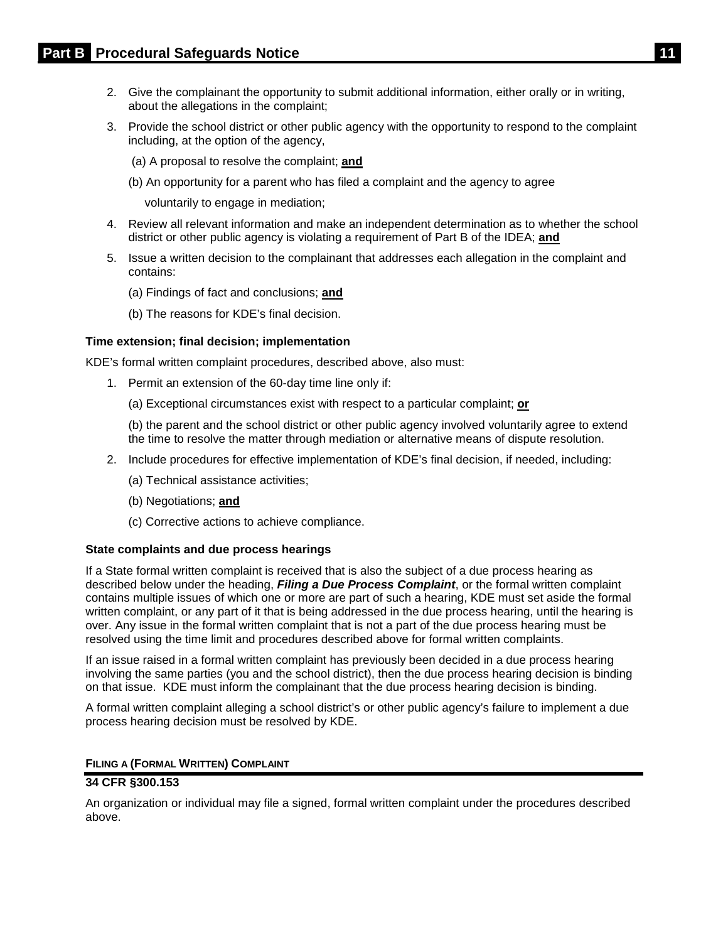- 2. Give the complainant the opportunity to submit additional information, either orally or in writing, about the allegations in the complaint;
- 3. Provide the school district or other public agency with the opportunity to respond to the complaint including, at the option of the agency,
	- (a) A proposal to resolve the complaint; **and**
	- (b) An opportunity for a parent who has filed a complaint and the agency to agree

voluntarily to engage in mediation;

- 4. Review all relevant information and make an independent determination as to whether the school district or other public agency is violating a requirement of Part B of the IDEA; **and**
- 5. Issue a written decision to the complainant that addresses each allegation in the complaint and contains:
	- (a) Findings of fact and conclusions; **and**
	- (b) The reasons for KDE's final decision.

## **Time extension; final decision; implementation**

KDE's formal written complaint procedures, described above, also must:

- 1. Permit an extension of the 60-day time line only if:
	- (a) Exceptional circumstances exist with respect to a particular complaint; **or**

(b) the parent and the school district or other public agency involved voluntarily agree to extend the time to resolve the matter through mediation or alternative means of dispute resolution.

- 2. Include procedures for effective implementation of KDE's final decision, if needed, including:
	- (a) Technical assistance activities;
	- (b) Negotiations; **and**
	- (c) Corrective actions to achieve compliance.

## **State complaints and due process hearings**

If a State formal written complaint is received that is also the subject of a due process hearing as described below under the heading, *Filing a Due Process Complaint*, or the formal written complaint contains multiple issues of which one or more are part of such a hearing, KDE must set aside the formal written complaint, or any part of it that is being addressed in the due process hearing, until the hearing is over. Any issue in the formal written complaint that is not a part of the due process hearing must be resolved using the time limit and procedures described above for formal written complaints.

If an issue raised in a formal written complaint has previously been decided in a due process hearing involving the same parties (you and the school district), then the due process hearing decision is binding on that issue. KDE must inform the complainant that the due process hearing decision is binding.

A formal written complaint alleging a school district's or other public agency's failure to implement a due process hearing decision must be resolved by KDE.

## <span id="page-13-0"></span>**FILING A (FORMAL WRITTEN) COMPLAINT**

## **34 CFR §300.153**

An organization or individual may file a signed, formal written complaint under the procedures described above.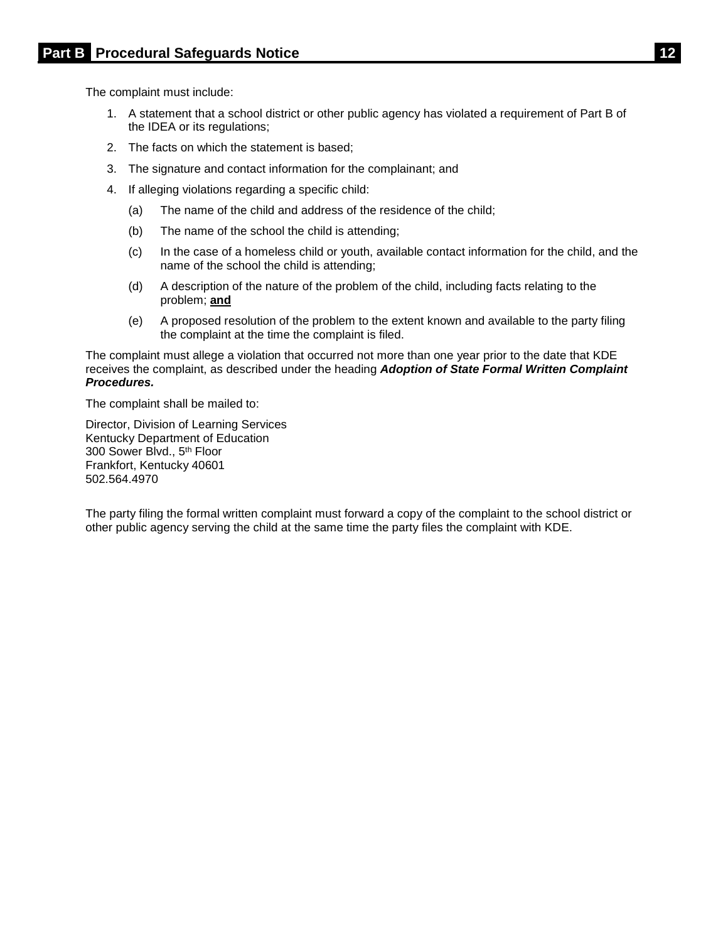The complaint must include:

- 1. A statement that a school district or other public agency has violated a requirement of Part B of the IDEA or its regulations;
- 2. The facts on which the statement is based;
- 3. The signature and contact information for the complainant; and
- 4. If alleging violations regarding a specific child:
	- (a) The name of the child and address of the residence of the child;
	- (b) The name of the school the child is attending;
	- (c) In the case of a homeless child or youth, available contact information for the child, and the name of the school the child is attending;
	- (d) A description of the nature of the problem of the child, including facts relating to the problem; **and**
	- (e) A proposed resolution of the problem to the extent known and available to the party filing the complaint at the time the complaint is filed.

The complaint must allege a violation that occurred not more than one year prior to the date that KDE receives the complaint, as described under the heading *Adoption of State Formal Written Complaint Procedures.*

The complaint shall be mailed to:

Director, Division of Learning Services Kentucky Department of Education 300 Sower Blvd., 5th Floor Frankfort, Kentucky 40601 502.564.4970

The party filing the formal written complaint must forward a copy of the complaint to the school district or other public agency serving the child at the same time the party files the complaint with KDE.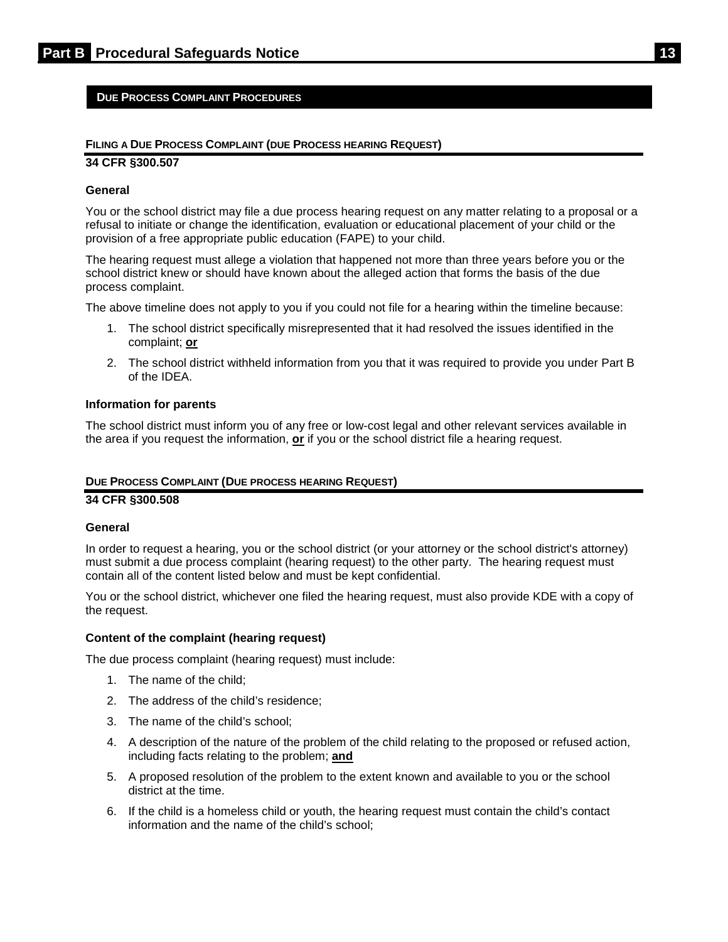## <span id="page-15-0"></span>**DUE PROCESS COMPLAINT PROCEDURES**

#### <span id="page-15-1"></span>**FILING A DUE PROCESS COMPLAINT (DUE PROCESS HEARING REQUEST)**

#### **34 CFR §300.507**

#### **General**

You or the school district may file a due process hearing request on any matter relating to a proposal or a refusal to initiate or change the identification, evaluation or educational placement of your child or the provision of a free appropriate public education (FAPE) to your child.

The hearing request must allege a violation that happened not more than three years before you or the school district knew or should have known about the alleged action that forms the basis of the due process complaint.

The above timeline does not apply to you if you could not file for a hearing within the timeline because:

- 1. The school district specifically misrepresented that it had resolved the issues identified in the complaint; **or**
- 2. The school district withheld information from you that it was required to provide you under Part B of the IDEA.

#### **Information for parents**

The school district must inform you of any free or low-cost legal and other relevant services available in the area if you request the information, **or** if you or the school district file a hearing request.

#### <span id="page-15-2"></span>**DUE PROCESS COMPLAINT (DUE PROCESS HEARING REQUEST)**

#### **34 CFR §300.508**

#### **General**

In order to request a hearing, you or the school district (or your attorney or the school district's attorney) must submit a due process complaint (hearing request) to the other party. The hearing request must contain all of the content listed below and must be kept confidential.

You or the school district, whichever one filed the hearing request, must also provide KDE with a copy of the request.

#### **Content of the complaint (hearing request)**

The due process complaint (hearing request) must include:

- 1. The name of the child;
- 2. The address of the child's residence;
- 3. The name of the child's school;
- 4. A description of the nature of the problem of the child relating to the proposed or refused action, including facts relating to the problem; **and**
- 5. A proposed resolution of the problem to the extent known and available to you or the school district at the time.
- 6. If the child is a homeless child or youth, the hearing request must contain the child's contact information and the name of the child's school;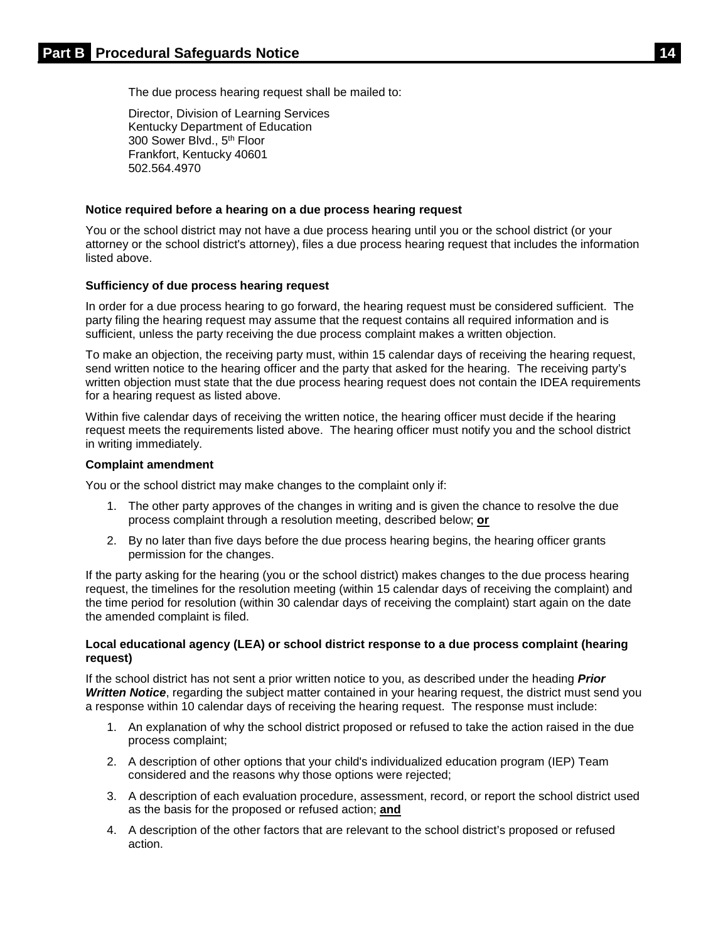The due process hearing request shall be mailed to:

Director, Division of Learning Services Kentucky Department of Education 300 Sower Blvd., 5<sup>th</sup> Floor Frankfort, Kentucky 40601 502.564.4970

## **Notice required before a hearing on a due process hearing request**

You or the school district may not have a due process hearing until you or the school district (or your attorney or the school district's attorney), files a due process hearing request that includes the information listed above.

## **Sufficiency of due process hearing request**

In order for a due process hearing to go forward, the hearing request must be considered sufficient. The party filing the hearing request may assume that the request contains all required information and is sufficient, unless the party receiving the due process complaint makes a written objection.

To make an objection, the receiving party must, within 15 calendar days of receiving the hearing request, send written notice to the hearing officer and the party that asked for the hearing. The receiving party's written objection must state that the due process hearing request does not contain the IDEA requirements for a hearing request as listed above.

Within five calendar days of receiving the written notice, the hearing officer must decide if the hearing request meets the requirements listed above. The hearing officer must notify you and the school district in writing immediately.

## **Complaint amendment**

You or the school district may make changes to the complaint only if:

- 1. The other party approves of the changes in writing and is given the chance to resolve the due process complaint through a resolution meeting, described below; **or**
- 2. By no later than five days before the due process hearing begins, the hearing officer grants permission for the changes.

If the party asking for the hearing (you or the school district) makes changes to the due process hearing request, the timelines for the resolution meeting (within 15 calendar days of receiving the complaint) and the time period for resolution (within 30 calendar days of receiving the complaint) start again on the date the amended complaint is filed.

## **Local educational agency (LEA) or school district response to a due process complaint (hearing request)**

If the school district has not sent a prior written notice to you, as described under the heading *Prior Written Notice*, regarding the subject matter contained in your hearing request, the district must send you a response within 10 calendar days of receiving the hearing request. The response must include:

- 1. An explanation of why the school district proposed or refused to take the action raised in the due process complaint;
- 2. A description of other options that your child's individualized education program (IEP) Team considered and the reasons why those options were rejected;
- 3. A description of each evaluation procedure, assessment, record, or report the school district used as the basis for the proposed or refused action; **and**
- 4. A description of the other factors that are relevant to the school district's proposed or refused action.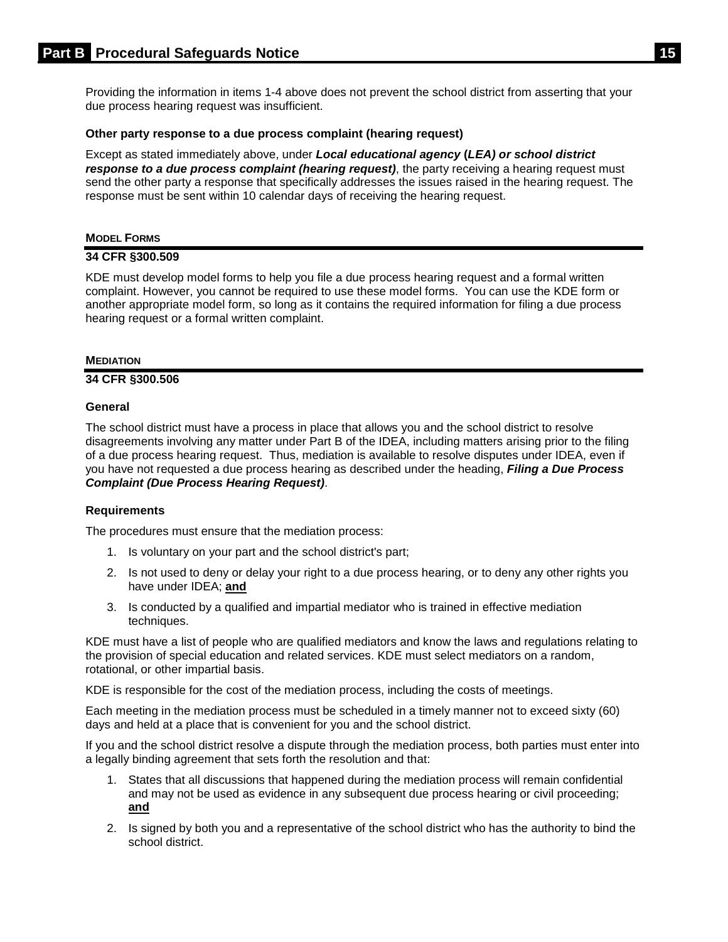Providing the information in items 1-4 above does not prevent the school district from asserting that your due process hearing request was insufficient.

## **Other party response to a due process complaint (hearing request)**

Except as stated immediately above, under *Local educational agency* **(***LEA) or school district response to a due process complaint (hearing request)*, the party receiving a hearing request must send the other party a response that specifically addresses the issues raised in the hearing request. The response must be sent within 10 calendar days of receiving the hearing request.

## <span id="page-17-0"></span>**MODEL FORMS**

## **34 CFR §300.509**

KDE must develop model forms to help you file a due process hearing request and a formal written complaint. However, you cannot be required to use these model forms. You can use the KDE form or another appropriate model form, so long as it contains the required information for filing a due process hearing request or a formal written complaint.

## <span id="page-17-1"></span>**MEDIATION**

## **34 CFR §300.506**

## **General**

The school district must have a process in place that allows you and the school district to resolve disagreements involving any matter under Part B of the IDEA, including matters arising prior to the filing of a due process hearing request. Thus, mediation is available to resolve disputes under IDEA, even if you have not requested a due process hearing as described under the heading, *Filing a Due Process Complaint (Due Process Hearing Request)*.

## **Requirements**

The procedures must ensure that the mediation process:

- 1. Is voluntary on your part and the school district's part;
- 2. Is not used to deny or delay your right to a due process hearing, or to deny any other rights you have under IDEA; **and**
- 3. Is conducted by a qualified and impartial mediator who is trained in effective mediation techniques.

KDE must have a list of people who are qualified mediators and know the laws and regulations relating to the provision of special education and related services. KDE must select mediators on a random, rotational, or other impartial basis.

KDE is responsible for the cost of the mediation process, including the costs of meetings.

Each meeting in the mediation process must be scheduled in a timely manner not to exceed sixty (60) days and held at a place that is convenient for you and the school district.

If you and the school district resolve a dispute through the mediation process, both parties must enter into a legally binding agreement that sets forth the resolution and that:

- 1. States that all discussions that happened during the mediation process will remain confidential and may not be used as evidence in any subsequent due process hearing or civil proceeding; **and**
- 2. Is signed by both you and a representative of the school district who has the authority to bind the school district.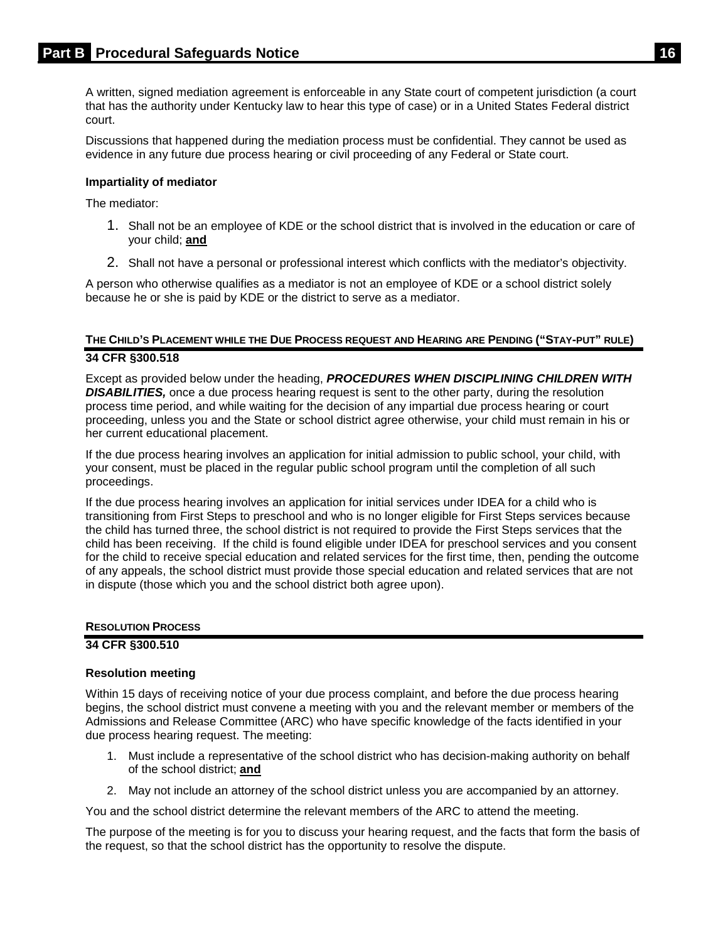A written, signed mediation agreement is enforceable in any State court of competent jurisdiction (a court that has the authority under Kentucky law to hear this type of case) or in a United States Federal district court.

Discussions that happened during the mediation process must be confidential. They cannot be used as evidence in any future due process hearing or civil proceeding of any Federal or State court.

## **Impartiality of mediator**

The mediator:

- 1. Shall not be an employee of KDE or the school district that is involved in the education or care of your child; **and**
- 2. Shall not have a personal or professional interest which conflicts with the mediator's objectivity.

A person who otherwise qualifies as a mediator is not an employee of KDE or a school district solely because he or she is paid by KDE or the district to serve as a mediator.

## <span id="page-18-0"></span>**THE CHILD'S PLACEMENT WHILE THE DUE PROCESS REQUEST AND HEARING ARE PENDING ("STAY-PUT" RULE) 34 CFR §300.518**

Except as provided below under the heading, *PROCEDURES WHEN DISCIPLINING CHILDREN WITH*  **DISABILITIES**, once a due process hearing request is sent to the other party, during the resolution process time period, and while waiting for the decision of any impartial due process hearing or court proceeding, unless you and the State or school district agree otherwise, your child must remain in his or her current educational placement.

If the due process hearing involves an application for initial admission to public school, your child, with your consent, must be placed in the regular public school program until the completion of all such proceedings.

If the due process hearing involves an application for initial services under IDEA for a child who is transitioning from First Steps to preschool and who is no longer eligible for First Steps services because the child has turned three, the school district is not required to provide the First Steps services that the child has been receiving. If the child is found eligible under IDEA for preschool services and you consent for the child to receive special education and related services for the first time, then, pending the outcome of any appeals, the school district must provide those special education and related services that are not in dispute (those which you and the school district both agree upon).

## <span id="page-18-1"></span>**RESOLUTION PROCESS**

## **34 CFR §300.510**

## **Resolution meeting**

Within 15 days of receiving notice of your due process complaint, and before the due process hearing begins, the school district must convene a meeting with you and the relevant member or members of the Admissions and Release Committee (ARC) who have specific knowledge of the facts identified in your due process hearing request. The meeting:

- 1. Must include a representative of the school district who has decision-making authority on behalf of the school district; **and**
- 2. May not include an attorney of the school district unless you are accompanied by an attorney.

You and the school district determine the relevant members of the ARC to attend the meeting.

The purpose of the meeting is for you to discuss your hearing request, and the facts that form the basis of the request, so that the school district has the opportunity to resolve the dispute.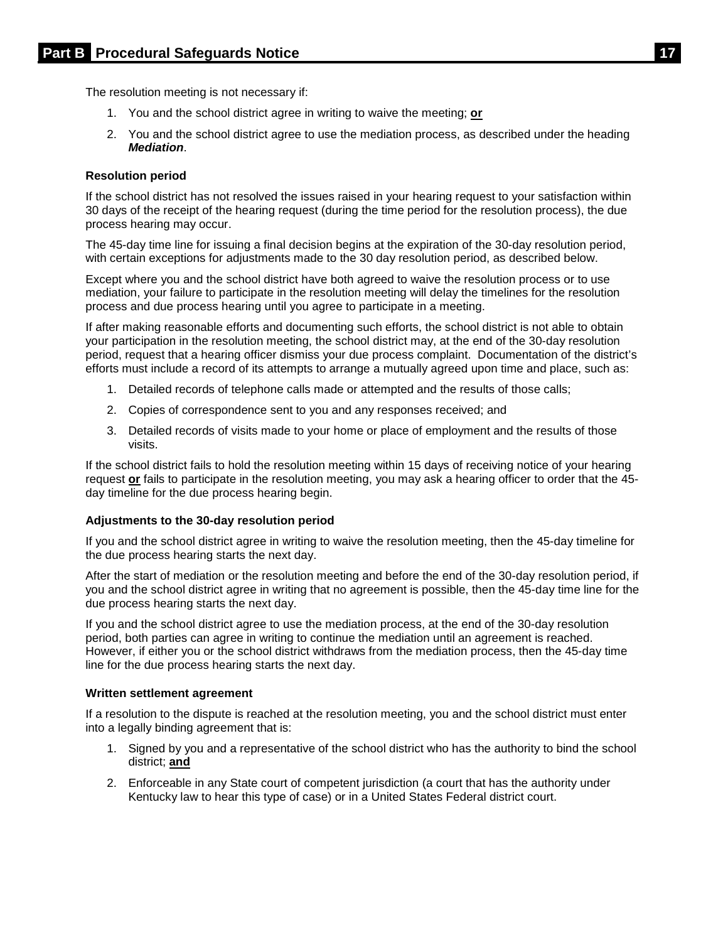The resolution meeting is not necessary if:

- 1. You and the school district agree in writing to waive the meeting; **or**
- 2. You and the school district agree to use the mediation process, as described under the heading *Mediation*.

## **Resolution period**

If the school district has not resolved the issues raised in your hearing request to your satisfaction within 30 days of the receipt of the hearing request (during the time period for the resolution process), the due process hearing may occur.

The 45-day time line for issuing a final decision begins at the expiration of the 30-day resolution period, with certain exceptions for adjustments made to the 30 day resolution period, as described below.

Except where you and the school district have both agreed to waive the resolution process or to use mediation, your failure to participate in the resolution meeting will delay the timelines for the resolution process and due process hearing until you agree to participate in a meeting.

If after making reasonable efforts and documenting such efforts, the school district is not able to obtain your participation in the resolution meeting, the school district may, at the end of the 30-day resolution period, request that a hearing officer dismiss your due process complaint. Documentation of the district's efforts must include a record of its attempts to arrange a mutually agreed upon time and place, such as:

- 1. Detailed records of telephone calls made or attempted and the results of those calls;
- 2. Copies of correspondence sent to you and any responses received; and
- 3. Detailed records of visits made to your home or place of employment and the results of those visits.

If the school district fails to hold the resolution meeting within 15 days of receiving notice of your hearing request **or** fails to participate in the resolution meeting, you may ask a hearing officer to order that the 45 day timeline for the due process hearing begin.

## **Adjustments to the 30-day resolution period**

If you and the school district agree in writing to waive the resolution meeting, then the 45-day timeline for the due process hearing starts the next day.

After the start of mediation or the resolution meeting and before the end of the 30-day resolution period, if you and the school district agree in writing that no agreement is possible, then the 45-day time line for the due process hearing starts the next day.

If you and the school district agree to use the mediation process, at the end of the 30-day resolution period, both parties can agree in writing to continue the mediation until an agreement is reached. However, if either you or the school district withdraws from the mediation process, then the 45-day time line for the due process hearing starts the next day.

## **Written settlement agreement**

If a resolution to the dispute is reached at the resolution meeting, you and the school district must enter into a legally binding agreement that is:

- 1. Signed by you and a representative of the school district who has the authority to bind the school district; **and**
- 2. Enforceable in any State court of competent jurisdiction (a court that has the authority under Kentucky law to hear this type of case) or in a United States Federal district court.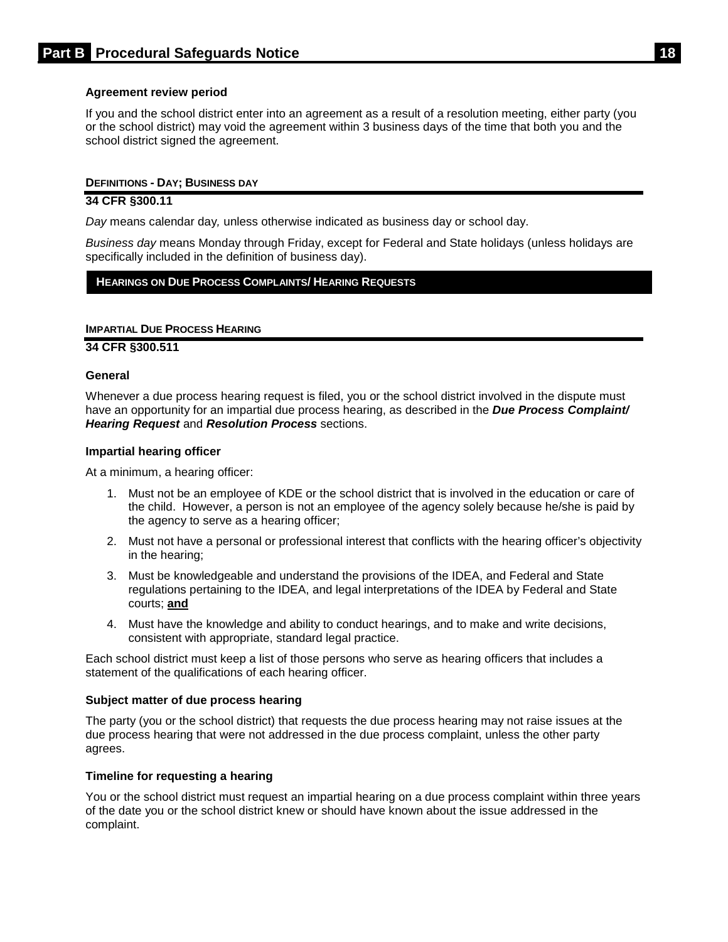## **Agreement review period**

If you and the school district enter into an agreement as a result of a resolution meeting, either party (you or the school district) may void the agreement within 3 business days of the time that both you and the school district signed the agreement.

## <span id="page-20-0"></span>**DEFINITIONS - DAY; BUSINESS DAY**

## **34 CFR §300.11**

*Day* means calendar day*,* unless otherwise indicated as business day or school day.

*Business day* means Monday through Friday, except for Federal and State holidays (unless holidays are specifically included in the definition of business day).

## <span id="page-20-1"></span>**HEARINGS ON DUE PROCESS COMPLAINTS/ HEARING REQUESTS**

## <span id="page-20-2"></span>**IMPARTIAL DUE PROCESS HEARING**

#### **34 CFR §300.511**

## **General**

Whenever a due process hearing request is filed, you or the school district involved in the dispute must have an opportunity for an impartial due process hearing, as described in the *Due Process Complaint/ Hearing Request* and *Resolution Process* sections.

#### **Impartial hearing officer**

At a minimum, a hearing officer:

- 1. Must not be an employee of KDE or the school district that is involved in the education or care of the child. However, a person is not an employee of the agency solely because he/she is paid by the agency to serve as a hearing officer;
- 2. Must not have a personal or professional interest that conflicts with the hearing officer's objectivity in the hearing;
- 3. Must be knowledgeable and understand the provisions of the IDEA, and Federal and State regulations pertaining to the IDEA, and legal interpretations of the IDEA by Federal and State courts; **and**
- 4. Must have the knowledge and ability to conduct hearings, and to make and write decisions, consistent with appropriate, standard legal practice.

Each school district must keep a list of those persons who serve as hearing officers that includes a statement of the qualifications of each hearing officer.

## **Subject matter of due process hearing**

The party (you or the school district) that requests the due process hearing may not raise issues at the due process hearing that were not addressed in the due process complaint, unless the other party agrees.

## **Timeline for requesting a hearing**

You or the school district must request an impartial hearing on a due process complaint within three years of the date you or the school district knew or should have known about the issue addressed in the complaint.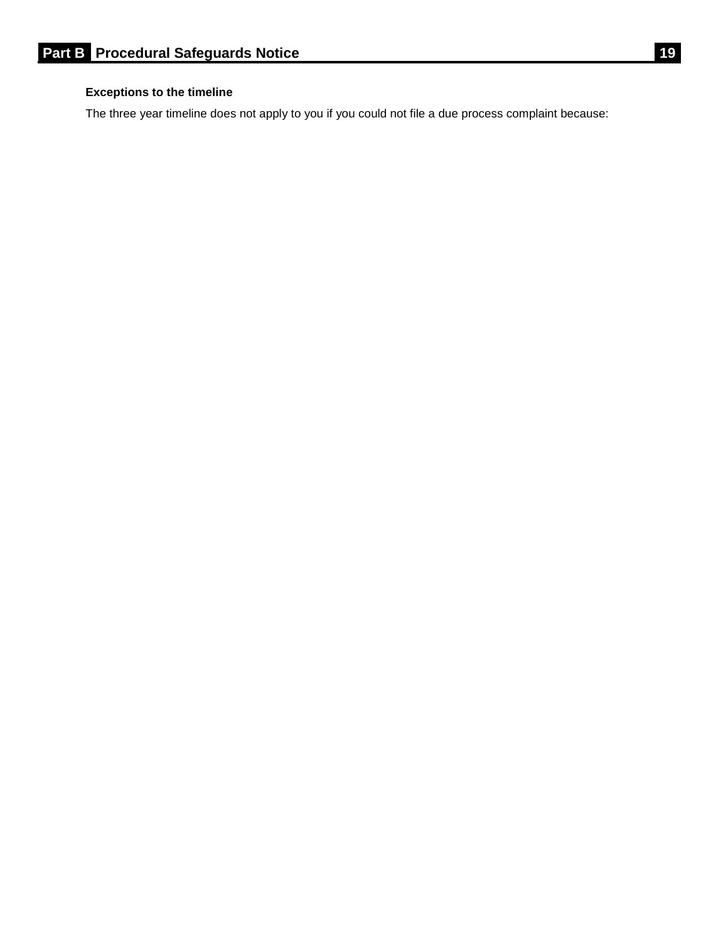## **Exceptions to the timeline**

The three year timeline does not apply to you if you could not file a due process complaint because: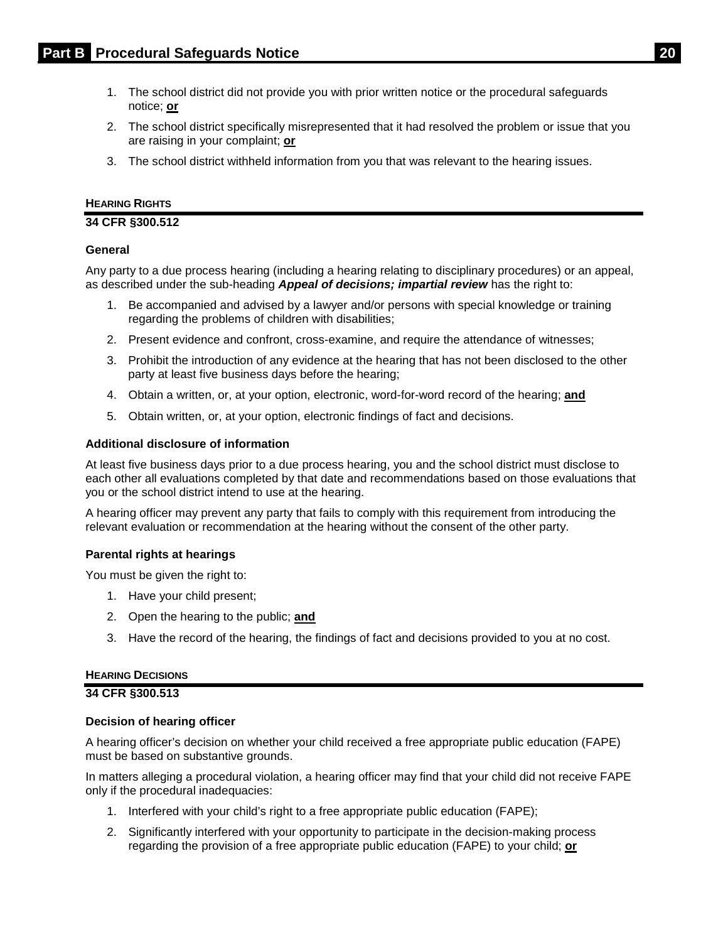- 1. The school district did not provide you with prior written notice or the procedural safeguards notice; **or**
- 2. The school district specifically misrepresented that it had resolved the problem or issue that you are raising in your complaint; **or**
- 3. The school district withheld information from you that was relevant to the hearing issues.

## <span id="page-22-0"></span>**HEARING RIGHTS**

## **34 CFR §300.512**

## **General**

Any party to a due process hearing (including a hearing relating to disciplinary procedures) or an appeal, as described under the sub-heading *Appeal of decisions; impartial review* has the right to:

- 1. Be accompanied and advised by a lawyer and/or persons with special knowledge or training regarding the problems of children with disabilities;
- 2. Present evidence and confront, cross-examine, and require the attendance of witnesses;
- 3. Prohibit the introduction of any evidence at the hearing that has not been disclosed to the other party at least five business days before the hearing;
- 4. Obtain a written, or, at your option, electronic, word-for-word record of the hearing; **and**
- 5. Obtain written, or, at your option, electronic findings of fact and decisions.

## **Additional disclosure of information**

At least five business days prior to a due process hearing, you and the school district must disclose to each other all evaluations completed by that date and recommendations based on those evaluations that you or the school district intend to use at the hearing.

A hearing officer may prevent any party that fails to comply with this requirement from introducing the relevant evaluation or recommendation at the hearing without the consent of the other party.

## **Parental rights at hearings**

You must be given the right to:

- 1. Have your child present;
- 2. Open the hearing to the public; **and**
- 3. Have the record of the hearing, the findings of fact and decisions provided to you at no cost.

## <span id="page-22-1"></span>**HEARING DECISIONS**

## **34 CFR §300.513**

## **Decision of hearing officer**

A hearing officer's decision on whether your child received a free appropriate public education (FAPE) must be based on substantive grounds.

In matters alleging a procedural violation, a hearing officer may find that your child did not receive FAPE only if the procedural inadequacies:

- 1. Interfered with your child's right to a free appropriate public education (FAPE);
- 2. Significantly interfered with your opportunity to participate in the decision-making process regarding the provision of a free appropriate public education (FAPE) to your child; **or**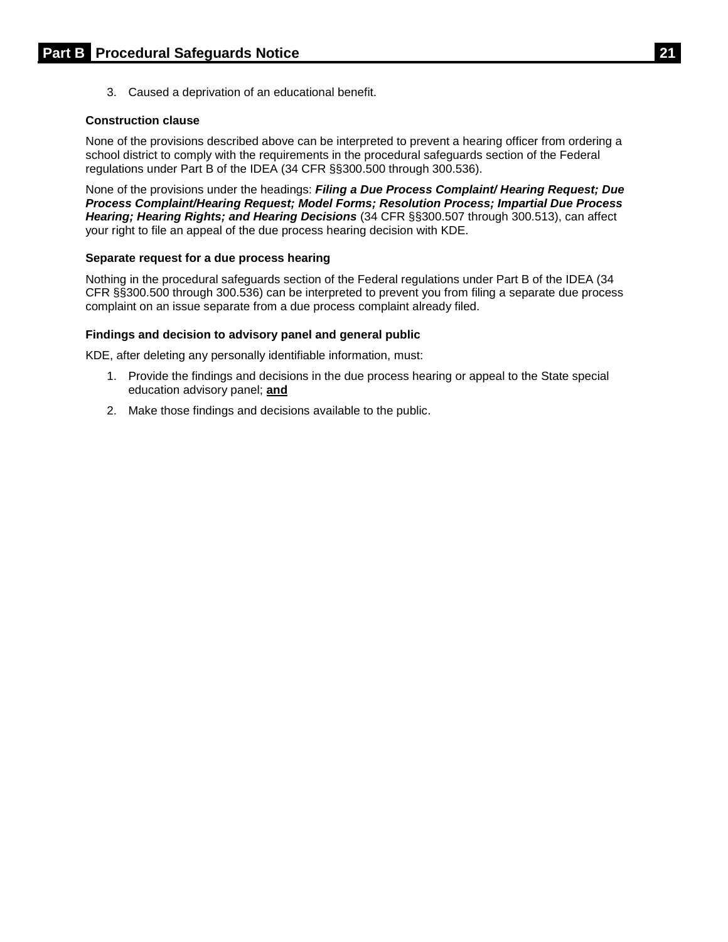3. Caused a deprivation of an educational benefit.

## **Construction clause**

None of the provisions described above can be interpreted to prevent a hearing officer from ordering a school district to comply with the requirements in the procedural safeguards section of the Federal regulations under Part B of the IDEA (34 CFR §§300.500 through 300.536).

None of the provisions under the headings: *Filing a Due Process Complaint/ Hearing Request; Due Process Complaint/Hearing Request; Model Forms; Resolution Process; Impartial Due Process Hearing; Hearing Rights; and Hearing Decisions* (34 CFR §§300.507 through 300.513), can affect your right to file an appeal of the due process hearing decision with KDE.

## **Separate request for a due process hearing**

Nothing in the procedural safeguards section of the Federal regulations under Part B of the IDEA (34 CFR §§300.500 through 300.536) can be interpreted to prevent you from filing a separate due process complaint on an issue separate from a due process complaint already filed.

## **Findings and decision to advisory panel and general public**

KDE, after deleting any personally identifiable information, must:

- 1. Provide the findings and decisions in the due process hearing or appeal to the State special education advisory panel; **and**
- 2. Make those findings and decisions available to the public.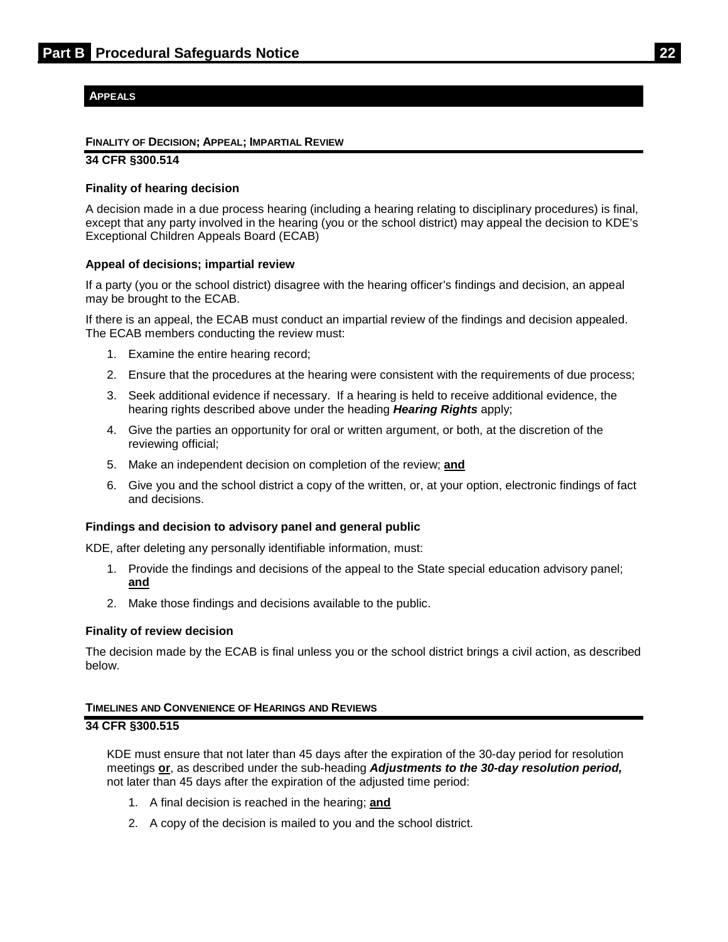## <span id="page-24-1"></span><span id="page-24-0"></span>**APPEALS**

#### **FINALITY OF DECISION; APPEAL; IMPARTIAL REVIEW**

#### **34 CFR §300.514**

## **Finality of hearing decision**

A decision made in a due process hearing (including a hearing relating to disciplinary procedures) is final, except that any party involved in the hearing (you or the school district) may appeal the decision to KDE's Exceptional Children Appeals Board (ECAB)

## **Appeal of decisions; impartial review**

If a party (you or the school district) disagree with the hearing officer's findings and decision, an appeal may be brought to the ECAB.

If there is an appeal, the ECAB must conduct an impartial review of the findings and decision appealed. The ECAB members conducting the review must:

- 1. Examine the entire hearing record;
- 2. Ensure that the procedures at the hearing were consistent with the requirements of due process;
- 3. Seek additional evidence if necessary. If a hearing is held to receive additional evidence, the hearing rights described above under the heading *Hearing Rights* apply;
- 4. Give the parties an opportunity for oral or written argument, or both, at the discretion of the reviewing official;
- 5. Make an independent decision on completion of the review; **and**
- 6. Give you and the school district a copy of the written, or, at your option, electronic findings of fact and decisions.

## **Findings and decision to advisory panel and general public**

KDE, after deleting any personally identifiable information, must:

- 1. Provide the findings and decisions of the appeal to the State special education advisory panel; **and**
- 2. Make those findings and decisions available to the public.

## **Finality of review decision**

The decision made by the ECAB is final unless you or the school district brings a civil action, as described below.

## <span id="page-24-2"></span>**TIMELINES AND CONVENIENCE OF HEARINGS AND REVIEWS**

## **34 CFR §300.515**

KDE must ensure that not later than 45 days after the expiration of the 30-day period for resolution meetings **or**, as described under the sub-heading *Adjustments to the 30-day resolution period,* not later than 45 days after the expiration of the adjusted time period:

- 1. A final decision is reached in the hearing; **and**
- 2. A copy of the decision is mailed to you and the school district.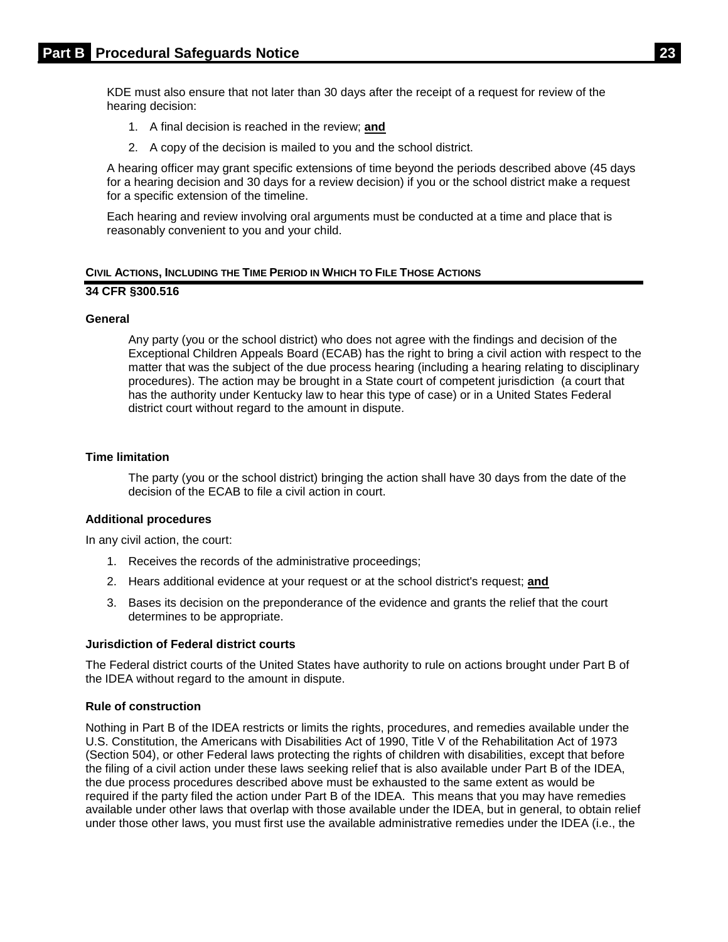KDE must also ensure that not later than 30 days after the receipt of a request for review of the hearing decision:

- 1. A final decision is reached in the review; **and**
- 2. A copy of the decision is mailed to you and the school district.

A hearing officer may grant specific extensions of time beyond the periods described above (45 days for a hearing decision and 30 days for a review decision) if you or the school district make a request for a specific extension of the timeline.

Each hearing and review involving oral arguments must be conducted at a time and place that is reasonably convenient to you and your child.

## <span id="page-25-0"></span>**CIVIL ACTIONS, INCLUDING THE TIME PERIOD IN WHICH TO FILE THOSE ACTIONS**

## **34 CFR §300.516**

## **General**

Any party (you or the school district) who does not agree with the findings and decision of the Exceptional Children Appeals Board (ECAB) has the right to bring a civil action with respect to the matter that was the subject of the due process hearing (including a hearing relating to disciplinary procedures). The action may be brought in a State court of competent jurisdiction (a court that has the authority under Kentucky law to hear this type of case) or in a United States Federal district court without regard to the amount in dispute.

## **Time limitation**

The party (you or the school district) bringing the action shall have 30 days from the date of the decision of the ECAB to file a civil action in court.

## **Additional procedures**

In any civil action, the court:

- 1. Receives the records of the administrative proceedings;
- 2. Hears additional evidence at your request or at the school district's request; **and**
- 3. Bases its decision on the preponderance of the evidence and grants the relief that the court determines to be appropriate.

## **Jurisdiction of Federal district courts**

The Federal district courts of the United States have authority to rule on actions brought under Part B of the IDEA without regard to the amount in dispute.

## **Rule of construction**

Nothing in Part B of the IDEA restricts or limits the rights, procedures, and remedies available under the U.S. Constitution, the Americans with Disabilities Act of 1990, Title V of the Rehabilitation Act of 1973 (Section 504), or other Federal laws protecting the rights of children with disabilities, except that before the filing of a civil action under these laws seeking relief that is also available under Part B of the IDEA, the due process procedures described above must be exhausted to the same extent as would be required if the party filed the action under Part B of the IDEA. This means that you may have remedies available under other laws that overlap with those available under the IDEA, but in general, to obtain relief under those other laws, you must first use the available administrative remedies under the IDEA (i.e., the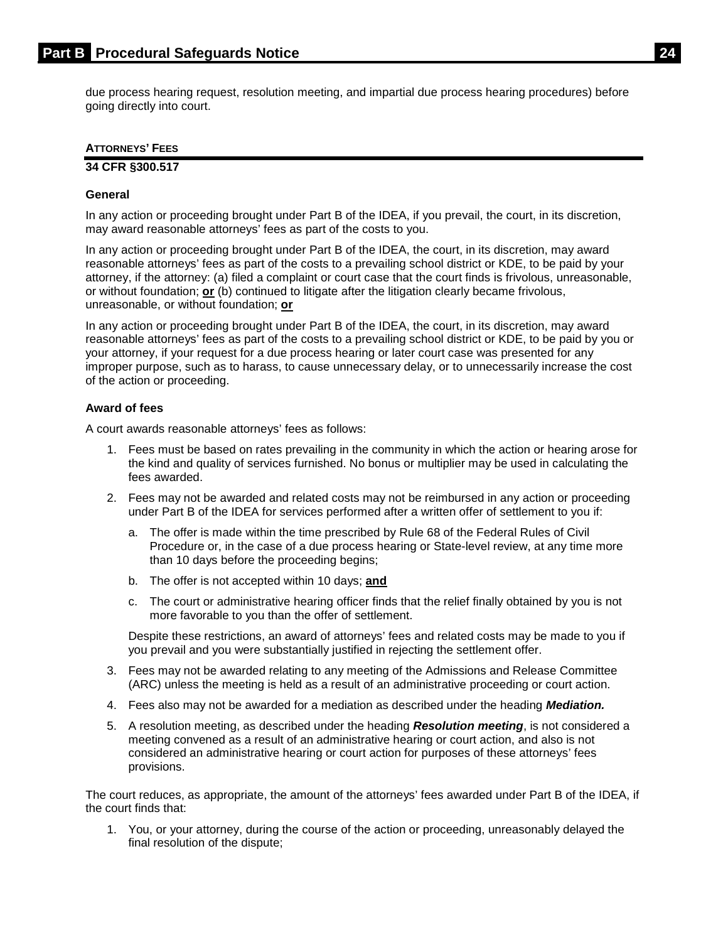due process hearing request, resolution meeting, and impartial due process hearing procedures) before going directly into court.

## <span id="page-26-0"></span>**ATTORNEYS' FEES**

## **34 CFR §300.517**

## **General**

In any action or proceeding brought under Part B of the IDEA, if you prevail, the court, in its discretion, may award reasonable attorneys' fees as part of the costs to you.

In any action or proceeding brought under Part B of the IDEA, the court, in its discretion, may award reasonable attorneys' fees as part of the costs to a prevailing school district or KDE, to be paid by your attorney, if the attorney: (a) filed a complaint or court case that the court finds is frivolous, unreasonable, or without foundation; **or** (b) continued to litigate after the litigation clearly became frivolous, unreasonable, or without foundation; **or**

In any action or proceeding brought under Part B of the IDEA, the court, in its discretion, may award reasonable attorneys' fees as part of the costs to a prevailing school district or KDE, to be paid by you or your attorney, if your request for a due process hearing or later court case was presented for any improper purpose, such as to harass, to cause unnecessary delay, or to unnecessarily increase the cost of the action or proceeding.

## **Award of fees**

A court awards reasonable attorneys' fees as follows:

- 1. Fees must be based on rates prevailing in the community in which the action or hearing arose for the kind and quality of services furnished. No bonus or multiplier may be used in calculating the fees awarded.
- 2. Fees may not be awarded and related costs may not be reimbursed in any action or proceeding under Part B of the IDEA for services performed after a written offer of settlement to you if:
	- a. The offer is made within the time prescribed by Rule 68 of the Federal Rules of Civil Procedure or, in the case of a due process hearing or State-level review, at any time more than 10 days before the proceeding begins;
	- b. The offer is not accepted within 10 days; **and**
	- c. The court or administrative hearing officer finds that the relief finally obtained by you is not more favorable to you than the offer of settlement.

Despite these restrictions, an award of attorneys' fees and related costs may be made to you if you prevail and you were substantially justified in rejecting the settlement offer.

- 3. Fees may not be awarded relating to any meeting of the Admissions and Release Committee (ARC) unless the meeting is held as a result of an administrative proceeding or court action.
- 4. Fees also may not be awarded for a mediation as described under the heading *Mediation.*
- 5. A resolution meeting, as described under the heading *Resolution meeting*, is not considered a meeting convened as a result of an administrative hearing or court action, and also is not considered an administrative hearing or court action for purposes of these attorneys' fees provisions.

The court reduces, as appropriate, the amount of the attorneys' fees awarded under Part B of the IDEA, if the court finds that:

1. You, or your attorney, during the course of the action or proceeding, unreasonably delayed the final resolution of the dispute;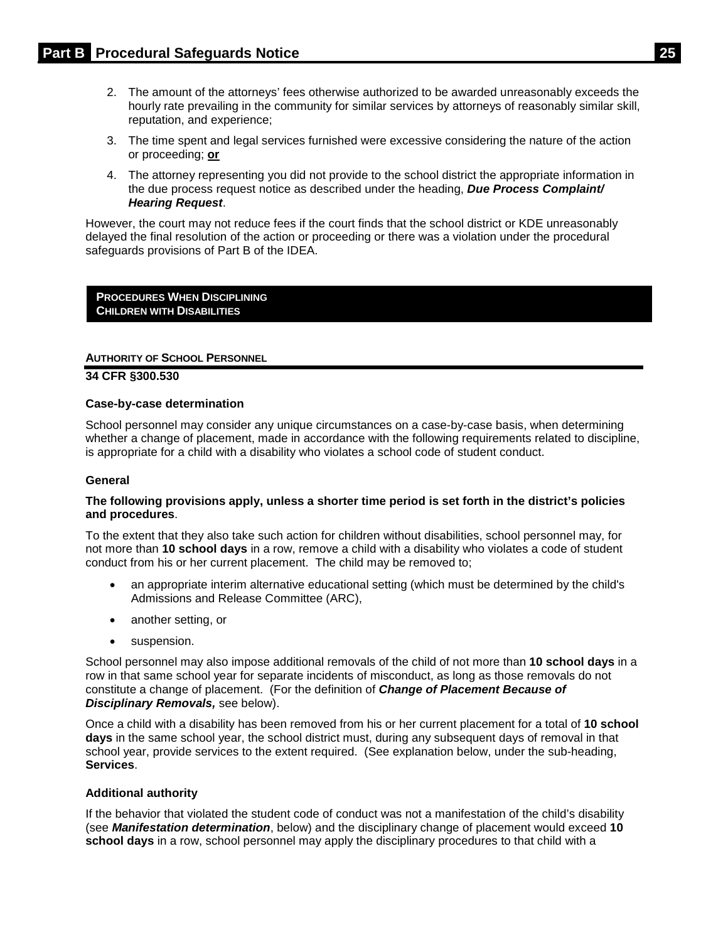- 2. The amount of the attorneys' fees otherwise authorized to be awarded unreasonably exceeds the hourly rate prevailing in the community for similar services by attorneys of reasonably similar skill, reputation, and experience;
- 3. The time spent and legal services furnished were excessive considering the nature of the action or proceeding; **or**
- 4. The attorney representing you did not provide to the school district the appropriate information in the due process request notice as described under the heading, *Due Process Complaint/ Hearing Request*.

However, the court may not reduce fees if the court finds that the school district or KDE unreasonably delayed the final resolution of the action or proceeding or there was a violation under the procedural safeguards provisions of Part B of the IDEA.

<span id="page-27-0"></span>**PROCEDURES WHEN DISCIPLINING CHILDREN WITH DISABILITIES**

## <span id="page-27-1"></span>**AUTHORITY OF SCHOOL PERSONNEL**

## **34 CFR §300.530**

## **Case-by-case determination**

School personnel may consider any unique circumstances on a case-by-case basis, when determining whether a change of placement, made in accordance with the following requirements related to discipline, is appropriate for a child with a disability who violates a school code of student conduct.

## **General**

## **The following provisions apply, unless a shorter time period is set forth in the district's policies and procedures**.

To the extent that they also take such action for children without disabilities, school personnel may, for not more than **10 school days** in a row, remove a child with a disability who violates a code of student conduct from his or her current placement. The child may be removed to;

- an appropriate interim alternative educational setting (which must be determined by the child's Admissions and Release Committee (ARC),
- another setting, or
- suspension.

School personnel may also impose additional removals of the child of not more than **10 school days** in a row in that same school year for separate incidents of misconduct, as long as those removals do not constitute a change of placement. (For the definition of *Change of Placement Because of Disciplinary Removals,* see below).

Once a child with a disability has been removed from his or her current placement for a total of **10 school days** in the same school year, the school district must, during any subsequent days of removal in that school year, provide services to the extent required. (See explanation below, under the sub-heading, **Services**.

## **Additional authority**

If the behavior that violated the student code of conduct was not a manifestation of the child's disability (see *Manifestation determination*, below) and the disciplinary change of placement would exceed **10 school days** in a row, school personnel may apply the disciplinary procedures to that child with a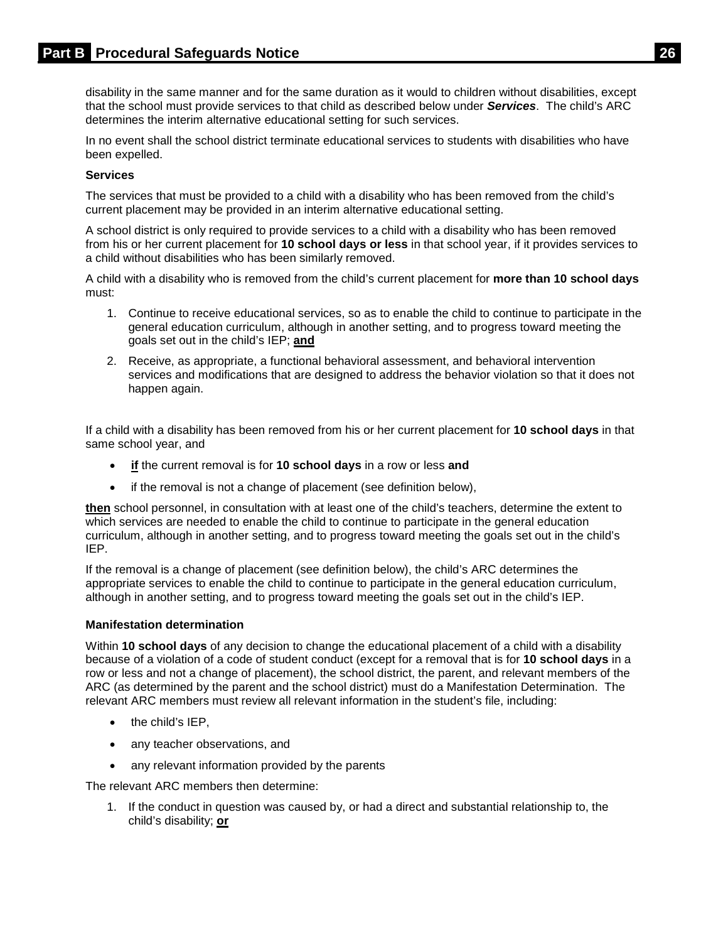disability in the same manner and for the same duration as it would to children without disabilities, except that the school must provide services to that child as described below under *Services*. The child's ARC determines the interim alternative educational setting for such services.

In no event shall the school district terminate educational services to students with disabilities who have been expelled.

## **Services**

The services that must be provided to a child with a disability who has been removed from the child's current placement may be provided in an interim alternative educational setting.

A school district is only required to provide services to a child with a disability who has been removed from his or her current placement for **10 school days or less** in that school year, if it provides services to a child without disabilities who has been similarly removed.

A child with a disability who is removed from the child's current placement for **more than 10 school days** must:

- 1. Continue to receive educational services, so as to enable the child to continue to participate in the general education curriculum, although in another setting, and to progress toward meeting the goals set out in the child's IEP; **and**
- 2. Receive, as appropriate, a functional behavioral assessment, and behavioral intervention services and modifications that are designed to address the behavior violation so that it does not happen again.

If a child with a disability has been removed from his or her current placement for **10 school days** in that same school year, and

- **if** the current removal is for **10 school days** in a row or less **and**
- if the removal is not a change of placement (see definition below),

**then** school personnel, in consultation with at least one of the child's teachers, determine the extent to which services are needed to enable the child to continue to participate in the general education curriculum, although in another setting, and to progress toward meeting the goals set out in the child's IEP.

If the removal is a change of placement (see definition below), the child's ARC determines the appropriate services to enable the child to continue to participate in the general education curriculum, although in another setting, and to progress toward meeting the goals set out in the child's IEP.

## **Manifestation determination**

Within **10 school days** of any decision to change the educational placement of a child with a disability because of a violation of a code of student conduct (except for a removal that is for **10 school days** in a row or less and not a change of placement), the school district, the parent, and relevant members of the ARC (as determined by the parent and the school district) must do a Manifestation Determination. The relevant ARC members must review all relevant information in the student's file, including:

- the child's IEP.
- any teacher observations, and
- any relevant information provided by the parents

The relevant ARC members then determine:

1. If the conduct in question was caused by, or had a direct and substantial relationship to, the child's disability; **or**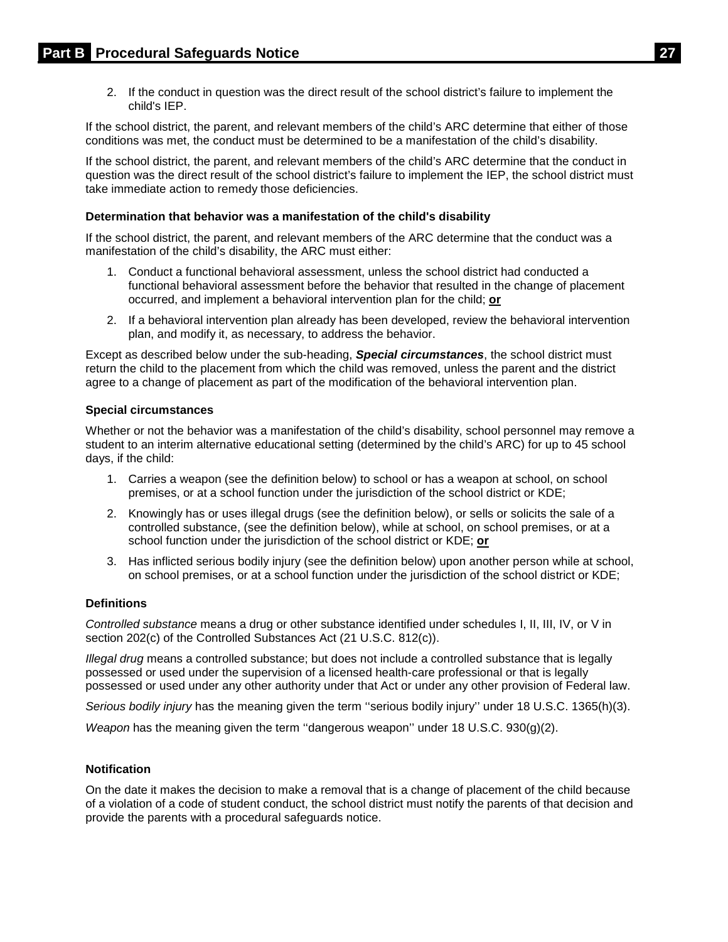2. If the conduct in question was the direct result of the school district's failure to implement the child's IEP.

If the school district, the parent, and relevant members of the child's ARC determine that either of those conditions was met, the conduct must be determined to be a manifestation of the child's disability.

If the school district, the parent, and relevant members of the child's ARC determine that the conduct in question was the direct result of the school district's failure to implement the IEP, the school district must take immediate action to remedy those deficiencies.

#### **Determination that behavior was a manifestation of the child's disability**

If the school district, the parent, and relevant members of the ARC determine that the conduct was a manifestation of the child's disability, the ARC must either:

- 1. Conduct a functional behavioral assessment, unless the school district had conducted a functional behavioral assessment before the behavior that resulted in the change of placement occurred, and implement a behavioral intervention plan for the child; **or**
- 2. If a behavioral intervention plan already has been developed, review the behavioral intervention plan, and modify it, as necessary, to address the behavior.

Except as described below under the sub-heading, *Special circumstances*, the school district must return the child to the placement from which the child was removed, unless the parent and the district agree to a change of placement as part of the modification of the behavioral intervention plan.

## **Special circumstances**

Whether or not the behavior was a manifestation of the child's disability, school personnel may remove a student to an interim alternative educational setting (determined by the child's ARC) for up to 45 school days, if the child:

- 1. Carries a weapon (see the definition below) to school or has a weapon at school, on school premises, or at a school function under the jurisdiction of the school district or KDE;
- 2. Knowingly has or uses illegal drugs (see the definition below), or sells or solicits the sale of a controlled substance, (see the definition below), while at school, on school premises, or at a school function under the jurisdiction of the school district or KDE; **or**
- 3. Has inflicted serious bodily injury (see the definition below) upon another person while at school, on school premises, or at a school function under the jurisdiction of the school district or KDE;

## **Definitions**

*Controlled substance* means a drug or other substance identified under schedules I, II, III, IV, or V in section 202(c) of the Controlled Substances Act (21 U.S.C. 812(c)).

*Illegal drug* means a controlled substance; but does not include a controlled substance that is legally possessed or used under the supervision of a licensed health-care professional or that is legally possessed or used under any other authority under that Act or under any other provision of Federal law.

*Serious bodily injury* has the meaning given the term ''serious bodily injury'' under 18 U.S.C. 1365(h)(3).

*Weapon* has the meaning given the term "dangerous weapon" under 18 U.S.C. 930(g)(2).

## **Notification**

On the date it makes the decision to make a removal that is a change of placement of the child because of a violation of a code of student conduct, the school district must notify the parents of that decision and provide the parents with a procedural safeguards notice.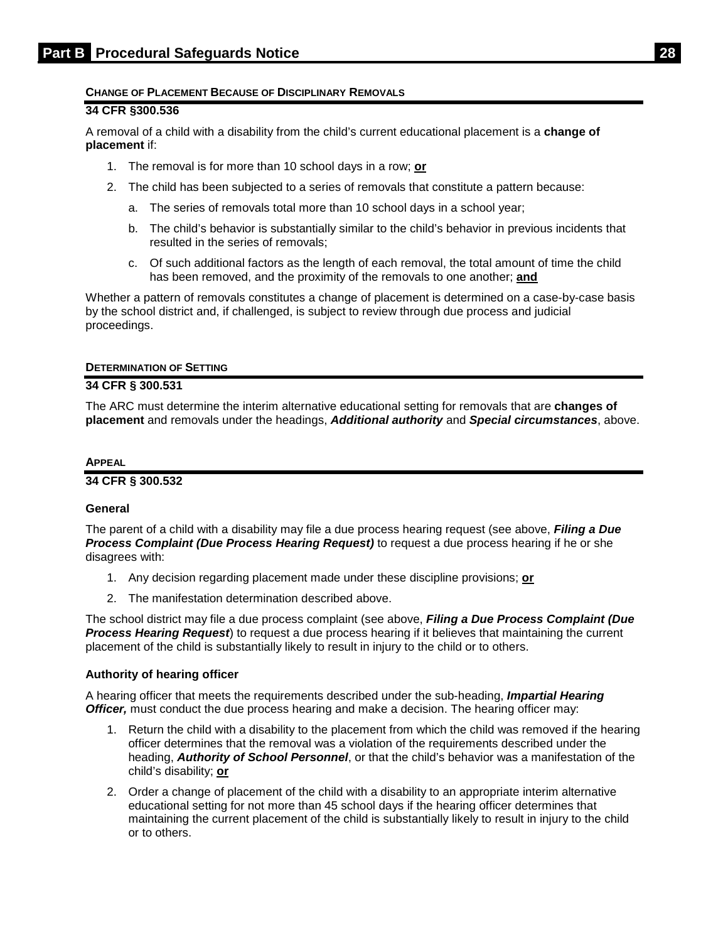## <span id="page-30-0"></span>**CHANGE OF PLACEMENT BECAUSE OF DISCIPLINARY REMOVALS**

## **34 CFR §300.536**

A removal of a child with a disability from the child's current educational placement is a **change of placement** if:

- 1. The removal is for more than 10 school days in a row; **or**
- 2. The child has been subjected to a series of removals that constitute a pattern because:
	- a. The series of removals total more than 10 school days in a school year;
	- b. The child's behavior is substantially similar to the child's behavior in previous incidents that resulted in the series of removals;
	- c. Of such additional factors as the length of each removal, the total amount of time the child has been removed, and the proximity of the removals to one another; **and**

Whether a pattern of removals constitutes a change of placement is determined on a case-by-case basis by the school district and, if challenged, is subject to review through due process and judicial proceedings.

## <span id="page-30-1"></span>**DETERMINATION OF SETTING**

## **34 CFR § 300.531**

The ARC must determine the interim alternative educational setting for removals that are **changes of placement** and removals under the headings, *Additional authority* and *Special circumstances*, above.

## <span id="page-30-2"></span>**APPEAL**

## **34 CFR § 300.532**

## **General**

The parent of a child with a disability may file a due process hearing request (see above, *Filing a Due Process Complaint (Due Process Hearing Request)* to request a due process hearing if he or she disagrees with:

- 1. Any decision regarding placement made under these discipline provisions; **or**
- 2. The manifestation determination described above.

The school district may file a due process complaint (see above, *Filing a Due Process Complaint (Due Process Hearing Request*) to request a due process hearing if it believes that maintaining the current placement of the child is substantially likely to result in injury to the child or to others.

## **Authority of hearing officer**

A hearing officer that meets the requirements described under the sub-heading, *Impartial Hearing*  **Officer,** must conduct the due process hearing and make a decision. The hearing officer may:

- 1. Return the child with a disability to the placement from which the child was removed if the hearing officer determines that the removal was a violation of the requirements described under the heading, *Authority of School Personnel*, or that the child's behavior was a manifestation of the child's disability; **or**
- 2. Order a change of placement of the child with a disability to an appropriate interim alternative educational setting for not more than 45 school days if the hearing officer determines that maintaining the current placement of the child is substantially likely to result in injury to the child or to others.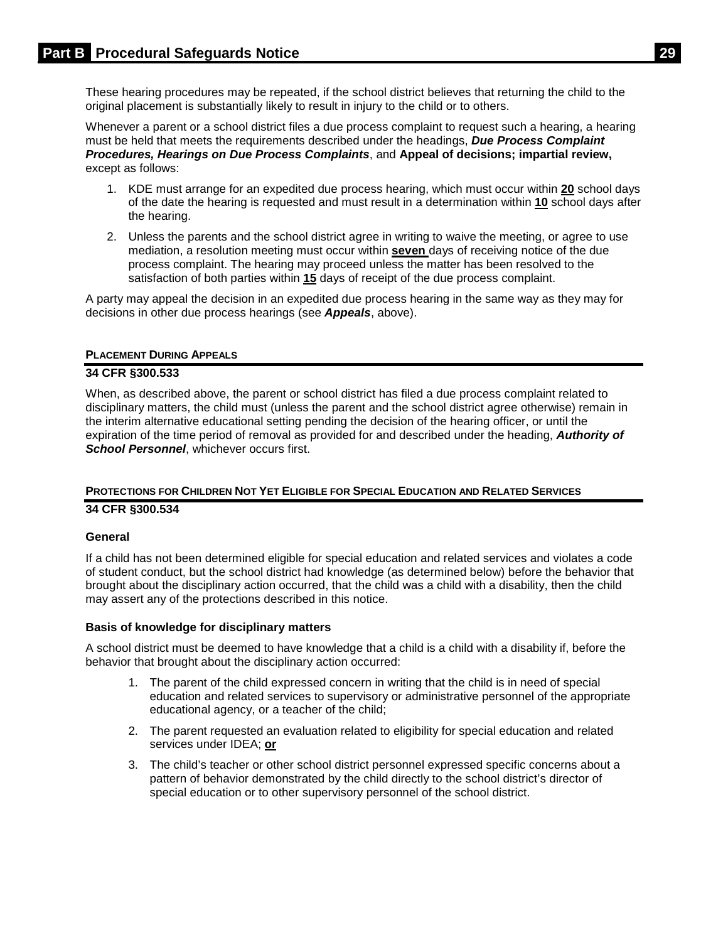These hearing procedures may be repeated, if the school district believes that returning the child to the original placement is substantially likely to result in injury to the child or to others.

Whenever a parent or a school district files a due process complaint to request such a hearing, a hearing must be held that meets the requirements described under the headings, *Due Process Complaint Procedures, Hearings on Due Process Complaints*, and **Appeal of decisions; impartial review,**  except as follows:

- 1. KDE must arrange for an expedited due process hearing, which must occur within **20** school days of the date the hearing is requested and must result in a determination within **10** school days after the hearing.
- 2. Unless the parents and the school district agree in writing to waive the meeting, or agree to use mediation, a resolution meeting must occur within **seven** days of receiving notice of the due process complaint. The hearing may proceed unless the matter has been resolved to the satisfaction of both parties within **15** days of receipt of the due process complaint.

A party may appeal the decision in an expedited due process hearing in the same way as they may for decisions in other due process hearings (see *Appeals*, above).

## <span id="page-31-0"></span>**PLACEMENT DURING APPEALS**

## **34 CFR §300.533**

When, as described above, the parent or school district has filed a due process complaint related to disciplinary matters, the child must (unless the parent and the school district agree otherwise) remain in the interim alternative educational setting pending the decision of the hearing officer, or until the expiration of the time period of removal as provided for and described under the heading, *Authority of School Personnel*, whichever occurs first.

## <span id="page-31-1"></span>**PROTECTIONS FOR CHILDREN NOT YET ELIGIBLE FOR SPECIAL EDUCATION AND RELATED SERVICES**

## **34 CFR §300.534**

## **General**

If a child has not been determined eligible for special education and related services and violates a code of student conduct, but the school district had knowledge (as determined below) before the behavior that brought about the disciplinary action occurred, that the child was a child with a disability, then the child may assert any of the protections described in this notice.

## **Basis of knowledge for disciplinary matters**

A school district must be deemed to have knowledge that a child is a child with a disability if, before the behavior that brought about the disciplinary action occurred:

- 1. The parent of the child expressed concern in writing that the child is in need of special education and related services to supervisory or administrative personnel of the appropriate educational agency, or a teacher of the child;
- 2. The parent requested an evaluation related to eligibility for special education and related services under IDEA; **or**
- 3. The child's teacher or other school district personnel expressed specific concerns about a pattern of behavior demonstrated by the child directly to the school district's director of special education or to other supervisory personnel of the school district.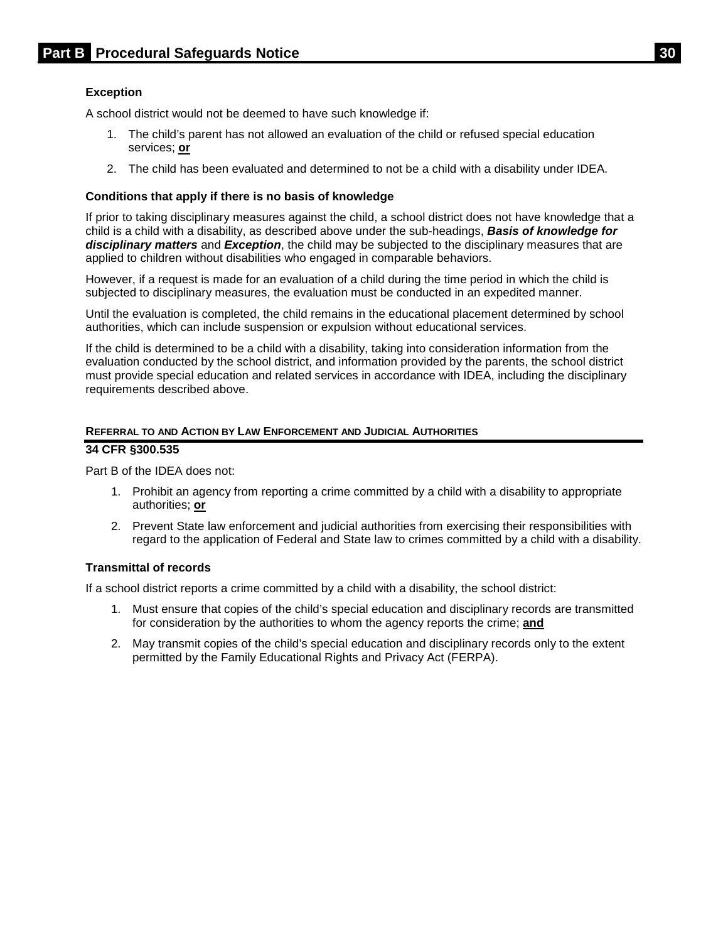## **Exception**

A school district would not be deemed to have such knowledge if:

- 1. The child's parent has not allowed an evaluation of the child or refused special education services; **or**
- 2. The child has been evaluated and determined to not be a child with a disability under IDEA.

## **Conditions that apply if there is no basis of knowledge**

If prior to taking disciplinary measures against the child, a school district does not have knowledge that a child is a child with a disability, as described above under the sub-headings, *Basis of knowledge for disciplinary matters* and *Exception*, the child may be subjected to the disciplinary measures that are applied to children without disabilities who engaged in comparable behaviors.

However, if a request is made for an evaluation of a child during the time period in which the child is subjected to disciplinary measures, the evaluation must be conducted in an expedited manner.

Until the evaluation is completed, the child remains in the educational placement determined by school authorities, which can include suspension or expulsion without educational services.

If the child is determined to be a child with a disability, taking into consideration information from the evaluation conducted by the school district, and information provided by the parents, the school district must provide special education and related services in accordance with IDEA, including the disciplinary requirements described above.

## <span id="page-32-0"></span>**REFERRAL TO AND ACTION BY LAW ENFORCEMENT AND JUDICIAL AUTHORITIES**

## **34 CFR §300.535**

Part B of the IDEA does not:

- 1. Prohibit an agency from reporting a crime committed by a child with a disability to appropriate authorities; **or**
- 2. Prevent State law enforcement and judicial authorities from exercising their responsibilities with regard to the application of Federal and State law to crimes committed by a child with a disability.

## **Transmittal of records**

If a school district reports a crime committed by a child with a disability, the school district:

- 1. Must ensure that copies of the child's special education and disciplinary records are transmitted for consideration by the authorities to whom the agency reports the crime; **and**
- 2. May transmit copies of the child's special education and disciplinary records only to the extent permitted by the Family Educational Rights and Privacy Act (FERPA).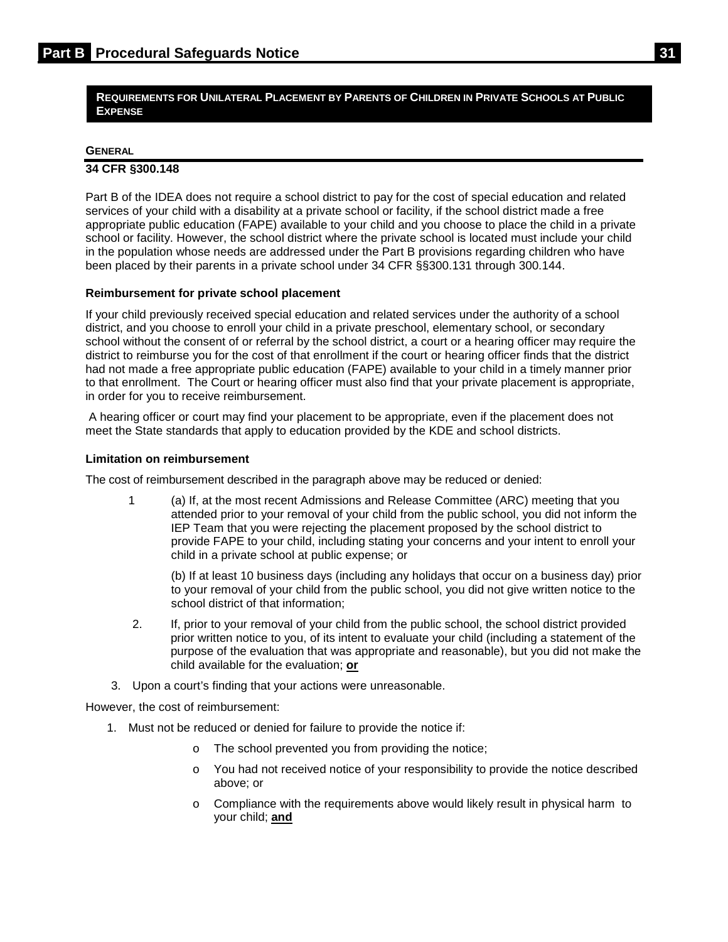## <span id="page-33-0"></span>**REQUIREMENTS FOR UNILATERAL PLACEMENT BY PARENTS OF CHILDREN IN PRIVATE SCHOOLS AT PUBLIC EXPENSE**

## <span id="page-33-1"></span>**GENERAL**

#### **34 CFR §300.148**

Part B of the IDEA does not require a school district to pay for the cost of special education and related services of your child with a disability at a private school or facility, if the school district made a free appropriate public education (FAPE) available to your child and you choose to place the child in a private school or facility. However, the school district where the private school is located must include your child in the population whose needs are addressed under the Part B provisions regarding children who have been placed by their parents in a private school under 34 CFR §§300.131 through 300.144.

## **Reimbursement for private school placement**

If your child previously received special education and related services under the authority of a school district, and you choose to enroll your child in a private preschool, elementary school, or secondary school without the consent of or referral by the school district, a court or a hearing officer may require the district to reimburse you for the cost of that enrollment if the court or hearing officer finds that the district had not made a free appropriate public education (FAPE) available to your child in a timely manner prior to that enrollment. The Court or hearing officer must also find that your private placement is appropriate, in order for you to receive reimbursement.

A hearing officer or court may find your placement to be appropriate, even if the placement does not meet the State standards that apply to education provided by the KDE and school districts.

## **Limitation on reimbursement**

The cost of reimbursement described in the paragraph above may be reduced or denied:

1 (a) If, at the most recent Admissions and Release Committee (ARC) meeting that you attended prior to your removal of your child from the public school, you did not inform the IEP Team that you were rejecting the placement proposed by the school district to provide FAPE to your child, including stating your concerns and your intent to enroll your child in a private school at public expense; or

(b) If at least 10 business days (including any holidays that occur on a business day) prior to your removal of your child from the public school, you did not give written notice to the school district of that information;

- 2. If, prior to your removal of your child from the public school, the school district provided prior written notice to you, of its intent to evaluate your child (including a statement of the purpose of the evaluation that was appropriate and reasonable), but you did not make the child available for the evaluation; **or**
- 3. Upon a court's finding that your actions were unreasonable.

However, the cost of reimbursement:

- 1. Must not be reduced or denied for failure to provide the notice if:
	- o The school prevented you from providing the notice;
	- o You had not received notice of your responsibility to provide the notice described above; or
	- o Compliance with the requirements above would likely result in physical harm to your child; **and**